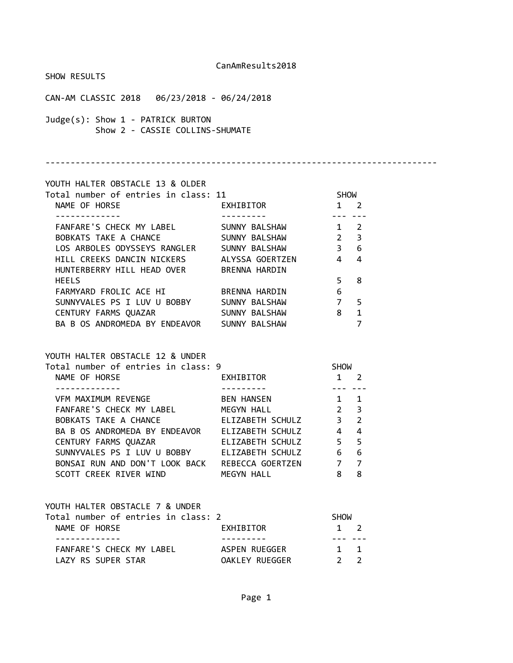| SHOW RESULTS                                                                                     |                      |                                                 |                |  |
|--------------------------------------------------------------------------------------------------|----------------------|-------------------------------------------------|----------------|--|
|                                                                                                  |                      |                                                 |                |  |
| Judge(s): Show 1 - PATRICK BURTON<br>Show 2 - CASSIE COLLINS-SHUMATE                             |                      |                                                 |                |  |
|                                                                                                  |                      |                                                 |                |  |
| YOUTH HALTER OBSTACLE 13 & OLDER                                                                 |                      |                                                 |                |  |
| Total number of entries in class: 11 SHOW                                                        |                      |                                                 |                |  |
| NAME OF HORSE                                                                                    | EXHIBITOR 1 2        |                                                 |                |  |
| FANFARE'S CHECK MY LABEL SUNNY BALSHAW                                                           |                      | $1 \quad 2$                                     |                |  |
| BOBKATS TAKE A CHANCE SUNNY BALSHAW 2 3                                                          |                      |                                                 |                |  |
| LOS ARBOLES ODYSSEYS RANGLER SUNNY BALSHAW 3 6                                                   |                      |                                                 |                |  |
| HILL CREEKS DANCIN NICKERS ALYSSA GOERTZEN 4 4<br>HUNTERBERRY HILL HEAD OVER BRENNA HARDIN       |                      |                                                 |                |  |
| <b>HEELS</b>                                                                                     |                      | 5 <sub>1</sub>                                  | 8              |  |
| FARMYARD FROLIC ACE HI<br>SUNNYVALES PS I LUV U BOBBY SUNNY BALSHAW                              |                      | $6\overline{6}$                                 |                |  |
|                                                                                                  |                      | $\begin{array}{ccc} 7 & 5 \\ 8 & 1 \end{array}$ |                |  |
| CENTURY FARMS QUAZAR SUNNY BALSHAW                                                               |                      |                                                 |                |  |
| BA B OS ANDROMEDA BY ENDEAVOR SUNNY BALSHAW                                                      |                      |                                                 | $\overline{7}$ |  |
| YOUTH HALTER OBSTACLE 12 & UNDER                                                                 |                      |                                                 |                |  |
| Total number of entries in class: 9                                                              |                      |                                                 |                |  |
| NAME OF HORSE                                                                                    | EXHIBITOR            | SHOW<br>1 2                                     |                |  |
|                                                                                                  |                      | 100 <b>- - -</b> 100                            |                |  |
| VFM MAXIMUM REVENGE BEN HANSEN 1 1                                                               |                      |                                                 |                |  |
| FANFARE'S CHECK MY LABEL MEGYN HALL 2 3                                                          |                      |                                                 |                |  |
| BOBKATS TAKE A CHANCE ELIZABETH SCHULZ 3 2<br>BA B OS ANDROMEDA BY ENDEAVOR ELIZABETH SCHULZ 4 4 |                      |                                                 |                |  |
| CENTURY FARMS QUAZAR                                                                             | ELIZABETH SCHULZ 5 5 |                                                 |                |  |
| SUNNYVALES PS I LUV U BOBBY                                                                      | ELIZABETH SCHULZ     | 6                                               | 6              |  |
| BONSAI RUN AND DON'T LOOK BACK REBECCA GOERTZEN                                                  |                      | $7\overline{ }$                                 | $\overline{7}$ |  |
| SCOTT CREEK RIVER WIND                                                                           | MEGYN HALL           | 8                                               | 8              |  |
|                                                                                                  |                      |                                                 |                |  |
| YOUTH HALTER OBSTACLE 7 & UNDER                                                                  |                      |                                                 |                |  |
| Total number of entries in class: 2                                                              |                      | <b>SHOW</b>                                     |                |  |
| NAME OF HORSE<br>. <u>.</u> .                                                                    | EXHIBITOR            | $1 \quad 2$<br>$\frac{1}{2}$                    |                |  |
| FANFARE'S CHECK MY LABEL                                                                         | ASPEN RUEGGER        | $1 \quad 1$                                     |                |  |
| LAZY RS SUPER STAR                                                                               | OAKLEY RUEGGER       | $2^{\circ}$                                     | $\overline{2}$ |  |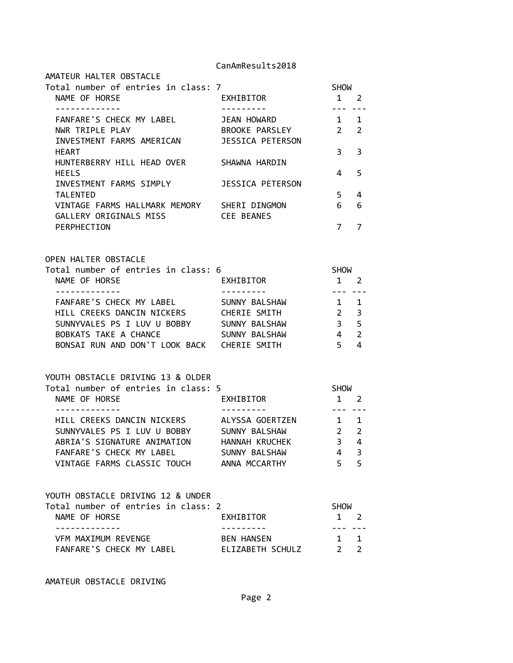|                                                                                                                                                                                                                                     | Calimiinesuitskuid                                          |                                                                                                                                                                                                                                                                                                                                                                                                                                                                                                          |                                    |
|-------------------------------------------------------------------------------------------------------------------------------------------------------------------------------------------------------------------------------------|-------------------------------------------------------------|----------------------------------------------------------------------------------------------------------------------------------------------------------------------------------------------------------------------------------------------------------------------------------------------------------------------------------------------------------------------------------------------------------------------------------------------------------------------------------------------------------|------------------------------------|
| AMATEUR HALTER OBSTACLE<br>Total number of entries in class: 7<br>NAME OF HORSE<br>-------------                                                                                                                                    | EXHIBITOR<br>----------                                     | <b>SHOW</b><br>$1 \quad 2$<br>$\frac{1}{2} \left( \frac{1}{2} \right) \left( \frac{1}{2} \right) \left( \frac{1}{2} \right) \left( \frac{1}{2} \right) \left( \frac{1}{2} \right) \left( \frac{1}{2} \right) \left( \frac{1}{2} \right) \left( \frac{1}{2} \right) \left( \frac{1}{2} \right) \left( \frac{1}{2} \right) \left( \frac{1}{2} \right) \left( \frac{1}{2} \right) \left( \frac{1}{2} \right) \left( \frac{1}{2} \right) \left( \frac{1}{2} \right) \left( \frac{1}{2} \right) \left( \frac$ |                                    |
| FANFARE'S CHECK MY LABEL<br>NWR TRIPLE PLAY<br>INVESTMENT FARMS AMERICAN                                                                                                                                                            | JEAN HOWARD<br>BROOKE PARSLEY<br><b>JESSICA PETERSON</b>    | $1 \quad 1$<br>$2^{\circ}$                                                                                                                                                                                                                                                                                                                                                                                                                                                                               | $\overline{2}$                     |
| <b>HEART</b><br>HUNTERBERRY HILL HEAD OVER                                                                                                                                                                                          | SHAWNA HARDIN                                               | 3                                                                                                                                                                                                                                                                                                                                                                                                                                                                                                        | 3                                  |
| <b>HEELS</b><br>INVESTMENT FARMS SIMPLY                                                                                                                                                                                             | <b>JESSICA PETERSON</b>                                     | 4                                                                                                                                                                                                                                                                                                                                                                                                                                                                                                        | 5                                  |
| <b>TALENTED</b><br>VINTAGE FARMS HALLMARK MEMORY SHERI DINGMON<br>GALLERY ORIGINALS MISS                                                                                                                                            | <b>CEE BEANES</b>                                           | 5 <sup>1</sup><br>6                                                                                                                                                                                                                                                                                                                                                                                                                                                                                      | 4<br>6                             |
| PERPHECTION                                                                                                                                                                                                                         |                                                             | 7                                                                                                                                                                                                                                                                                                                                                                                                                                                                                                        | 7                                  |
| <b>OPEN HALTER OBSTACLE</b><br>Total number of entries in class: 6<br>NAME OF HORSE                                                                                                                                                 | EXHIBITOR                                                   | <b>SHOW</b><br>$\mathbf{1}$                                                                                                                                                                                                                                                                                                                                                                                                                                                                              | $\overline{2}$                     |
| -------------<br>FANFARE'S CHECK MY LABEL<br>HILL CREEKS DANCIN NICKERS<br>SUNNYVALES PS I LUV U BOBBY SUNNY BALSHAW<br>BOBKATS TAKE A CHANCE<br>BONSAI RUN AND DON'T LOOK BACK CHERIE SMITH                                        | ---------<br>SUNNY BALSHAW<br>CHERIE SMITH<br>SUNNY BALSHAW | --- ---<br>$\overline{1}$<br>$\overline{2}$<br>3 <sup>7</sup><br>$\overline{4}$<br>$5^{\circ}$                                                                                                                                                                                                                                                                                                                                                                                                           | 1<br>3<br>5<br>$\overline{2}$<br>4 |
| YOUTH OBSTACLE DRIVING 13 & OLDER<br>Total number of entries in class: 5<br>NAME OF HORSE                                                                                                                                           | EXHIBITOR                                                   | <b>SHOW</b><br>$1 \quad 2$                                                                                                                                                                                                                                                                                                                                                                                                                                                                               |                                    |
| -------------<br>HILL CREEKS DANCIN NICKERS ALYSSA GOERTZEN 1 1<br>SUNNYVALES PS I LUV U BOBBY SUNNY BALSHAW<br>ABRIA'S SIGNATURE ANIMATION HANNAH KRUCHEK<br>FANFARE'S CHECK MY LABEL<br>VINTAGE FARMS CLASSIC TOUCH ANNA MCCARTHY | ---------<br>SUNNY BALSHAW                                  | --- ---<br>$2^{\circ}$<br>$3 \quad 4$<br>$\overline{4}$<br>5 <sup>1</sup>                                                                                                                                                                                                                                                                                                                                                                                                                                | 2<br>3<br>5                        |
|                                                                                                                                                                                                                                     |                                                             |                                                                                                                                                                                                                                                                                                                                                                                                                                                                                                          |                                    |

| YOUTH OBSTACLE DRIVING 12 & UNDER   |                   |             |  |
|-------------------------------------|-------------------|-------------|--|
| Total number of entries in class: 2 |                   | <b>SHOW</b> |  |
| NAME OF HORSE                       | EXHIBITOR         | $1 \quad 2$ |  |
|                                     |                   |             |  |
| VFM MAXIMUM REVENGE                 | <b>BEN HANSEN</b> | $1 \quad 1$ |  |
| FANFARE'S CHECK MY LABEL            | ELIZABETH SCHULZ  |             |  |

AMATEUR OBSTACLE DRIVING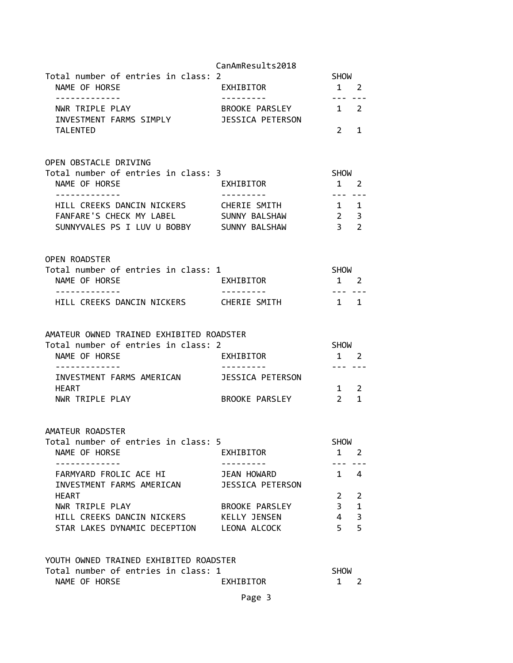|                                                                     | CanAmResults2018                          |                                                                                                                                                                                                                                                                                                                                                                                                                                                                                                          |                   |
|---------------------------------------------------------------------|-------------------------------------------|----------------------------------------------------------------------------------------------------------------------------------------------------------------------------------------------------------------------------------------------------------------------------------------------------------------------------------------------------------------------------------------------------------------------------------------------------------------------------------------------------------|-------------------|
| Total number of entries in class: 2                                 |                                           | SHOW                                                                                                                                                                                                                                                                                                                                                                                                                                                                                                     |                   |
| NAME OF HORSE<br>-------------                                      | EXHIBITOR<br>---------                    | $1 \quad 2$                                                                                                                                                                                                                                                                                                                                                                                                                                                                                              |                   |
| NWR TRIPLE PLAY<br>INVESTMENT FARMS SIMPLY                          | BROOKE PARSLEY<br><b>JESSICA PETERSON</b> | $\frac{1}{2} \left( \frac{1}{2} \right) \left( \frac{1}{2} \right) \left( \frac{1}{2} \right) \left( \frac{1}{2} \right) \left( \frac{1}{2} \right) \left( \frac{1}{2} \right) \left( \frac{1}{2} \right) \left( \frac{1}{2} \right) \left( \frac{1}{2} \right) \left( \frac{1}{2} \right) \left( \frac{1}{2} \right) \left( \frac{1}{2} \right) \left( \frac{1}{2} \right) \left( \frac{1}{2} \right) \left( \frac{1}{2} \right) \left( \frac{1}{2} \right) \left( \frac$<br>1 2                        |                   |
| TALENTED                                                            |                                           | $\overline{2}$                                                                                                                                                                                                                                                                                                                                                                                                                                                                                           | 1                 |
| OPEN OBSTACLE DRIVING                                               |                                           |                                                                                                                                                                                                                                                                                                                                                                                                                                                                                                          |                   |
| Total number of entries in class: 3<br>NAME OF HORSE<br>----------- | EXHIBITOR                                 | <b>SHOW</b><br>$1 \quad 2$<br>$\frac{1}{2} \left( \frac{1}{2} \right) \left( \frac{1}{2} \right) \left( \frac{1}{2} \right) \left( \frac{1}{2} \right) \left( \frac{1}{2} \right) \left( \frac{1}{2} \right) \left( \frac{1}{2} \right) \left( \frac{1}{2} \right) \left( \frac{1}{2} \right) \left( \frac{1}{2} \right) \left( \frac{1}{2} \right) \left( \frac{1}{2} \right) \left( \frac{1}{2} \right) \left( \frac{1}{2} \right) \left( \frac{1}{2} \right) \left( \frac{1}{2} \right) \left( \frac$ |                   |
| HILL CREEKS DANCIN NICKERS                                          | CHERIE SMITH                              | $1\quad 1$                                                                                                                                                                                                                                                                                                                                                                                                                                                                                               |                   |
| FANFARE'S CHECK MY LABEL                                            | SUNNY BALSHAW                             | $\overline{2}$                                                                                                                                                                                                                                                                                                                                                                                                                                                                                           | $\overline{3}$    |
| SUNNYVALES PS I LUV U BOBBY SUNNY BALSHAW                           |                                           | 3 <sup>7</sup>                                                                                                                                                                                                                                                                                                                                                                                                                                                                                           | 2                 |
| <b>OPEN ROADSTER</b>                                                |                                           |                                                                                                                                                                                                                                                                                                                                                                                                                                                                                                          |                   |
| Total number of entries in class: 1                                 |                                           | <b>SHOW</b>                                                                                                                                                                                                                                                                                                                                                                                                                                                                                              |                   |
| NAME OF HORSE<br>-------------                                      | EXHIBITOR                                 | $1 \quad 2$<br>$\frac{1}{2} \left( \frac{1}{2} \right) \left( \frac{1}{2} \right) \left( \frac{1}{2} \right) \left( \frac{1}{2} \right) \left( \frac{1}{2} \right) \left( \frac{1}{2} \right) \left( \frac{1}{2} \right) \left( \frac{1}{2} \right) \left( \frac{1}{2} \right) \left( \frac{1}{2} \right) \left( \frac{1}{2} \right) \left( \frac{1}{2} \right) \left( \frac{1}{2} \right) \left( \frac{1}{2} \right) \left( \frac{1}{2} \right) \left( \frac{1}{2} \right) \left( \frac$                |                   |
| HILL CREEKS DANCIN NICKERS CHERIE SMITH                             |                                           | $\mathbf{1}$                                                                                                                                                                                                                                                                                                                                                                                                                                                                                             | 1                 |
| AMATEUR OWNED TRAINED EXHIBITED ROADSTER                            |                                           |                                                                                                                                                                                                                                                                                                                                                                                                                                                                                                          |                   |
| Total number of entries in class: 2                                 |                                           | <b>SHOW</b>                                                                                                                                                                                                                                                                                                                                                                                                                                                                                              |                   |
| NAME OF HORSE                                                       | EXHIBITOR                                 | 1 2                                                                                                                                                                                                                                                                                                                                                                                                                                                                                                      |                   |
| INVESTMENT FARMS AMERICAN JESSICA PETERSON                          |                                           | $\frac{1}{2} \left( \frac{1}{2} \right) \left( \frac{1}{2} \right) \left( \frac{1}{2} \right) \left( \frac{1}{2} \right) \left( \frac{1}{2} \right) \left( \frac{1}{2} \right) \left( \frac{1}{2} \right) \left( \frac{1}{2} \right) \left( \frac{1}{2} \right) \left( \frac{1}{2} \right) \left( \frac{1}{2} \right) \left( \frac{1}{2} \right) \left( \frac{1}{2} \right) \left( \frac{1}{2} \right) \left( \frac{1}{2} \right) \left( \frac{1}{2} \right) \left( \frac$                               |                   |
| HEART                                                               |                                           | 1                                                                                                                                                                                                                                                                                                                                                                                                                                                                                                        | 2                 |
| NWR TRIPLE PLAY                                                     | BROOKE PARSLEY                            | $\overline{2}$                                                                                                                                                                                                                                                                                                                                                                                                                                                                                           | $\mathbf{1}$      |
| AMATEUR ROADSTER                                                    |                                           |                                                                                                                                                                                                                                                                                                                                                                                                                                                                                                          |                   |
| Total number of entries in class: 5                                 |                                           | <b>SHOW</b>                                                                                                                                                                                                                                                                                                                                                                                                                                                                                              |                   |
| NAME OF HORSE                                                       | EXHIBITOR                                 | 1                                                                                                                                                                                                                                                                                                                                                                                                                                                                                                        | <sup>2</sup>      |
| FARMYARD FROLIC ACE HI                                              | JEAN HOWARD                               | $\mathbf{1}$                                                                                                                                                                                                                                                                                                                                                                                                                                                                                             | $\overline{4}$    |
| INVESTMENT FARMS AMERICAN                                           | <b>JESSICA PETERSON</b>                   |                                                                                                                                                                                                                                                                                                                                                                                                                                                                                                          |                   |
| <b>HEART</b><br>NWR TRIPLE PLAY                                     | BROOKE PARSLEY                            | $2^{\circ}$<br>$\mathbf{3}$                                                                                                                                                                                                                                                                                                                                                                                                                                                                              | 2<br>$\mathbf{1}$ |
| HILL CREEKS DANCIN NICKERS                                          | KELLY JENSEN                              | $\overline{4}$                                                                                                                                                                                                                                                                                                                                                                                                                                                                                           | 3                 |
| STAR LAKES DYNAMIC DECEPTION LEONA ALCOCK                           |                                           | 5 <sup>1</sup>                                                                                                                                                                                                                                                                                                                                                                                                                                                                                           | 5                 |
| YOUTH OWNED TRAINED EXHIBITED ROADSTER                              |                                           |                                                                                                                                                                                                                                                                                                                                                                                                                                                                                                          |                   |
| Total number of entries in class: 1                                 |                                           | <b>SHOW</b>                                                                                                                                                                                                                                                                                                                                                                                                                                                                                              |                   |
| NAME OF HORSE                                                       | EXHIBITOR                                 | $\mathbf{1}$                                                                                                                                                                                                                                                                                                                                                                                                                                                                                             | 2                 |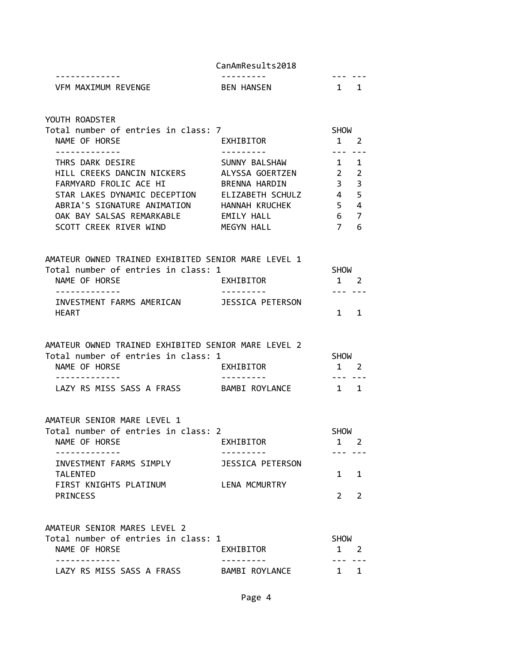| -----------                        | ---------        |  |
|------------------------------------|------------------|--|
| RFVFNGF<br><b>MAXTMIIM</b><br>./FM | Λ<br>RFN<br>⊶AN' |  |

YOUTH ROADSTER

| Total number of entries in class: 7 |                  | <b>SHOW</b>   |                         |  |
|-------------------------------------|------------------|---------------|-------------------------|--|
| NAME OF HORSE                       | EXHIBITOR        |               | $\mathcal{P}$           |  |
|                                     |                  |               |                         |  |
| THRS DARK DESIRE                    | SUNNY BALSHAW    |               | $\blacksquare$          |  |
| HILL CREEKS DANCIN NICKERS          | ALYSSA GOERTZEN  | $\mathcal{P}$ | $\overline{\mathbf{2}}$ |  |
| FARMYARD FROLIC ACE HI              | BRENNA HARDIN    | 3             | $\overline{\mathbf{3}}$ |  |
| STAR LAKES DYNAMIC DECEPTION        | ELIZABETH SCHULZ | 4             | $-5$                    |  |
| ABRIA'S SIGNATURE ANIMATION         | HANNAH KRUCHEK   | 5             | $\overline{4}$          |  |
| OAK BAY SALSAS REMARKABLE           | EMILY HALL       | 6             | $\overline{7}$          |  |
| SCOTT CREEK RIVER WIND              | MEGYN HALL       |               | 6                       |  |

| AMATEUR OWNED TRAINED EXHIBITED SENIOR MARE LEVEL 1 |                  |             |             |  |
|-----------------------------------------------------|------------------|-------------|-------------|--|
| Total number of entries in class: 1                 |                  | <b>SHOW</b> |             |  |
| NAME OF HORSE                                       | EXHIBITOR        |             | $1 \quad 2$ |  |
|                                                     |                  |             |             |  |
| INVESTMENT FARMS AMERICAN                           | JESSICA PETERSON |             |             |  |
| <b>HFART</b>                                        |                  | 1 1         |             |  |

#### AMATEUR OWNED TRAINED EXHIBITED SENIOR MARE LEVEL 2 Total number of entries in class: 1 SHOW

| TULAI NUMUCI UI CHLIICS IN LIASS. I |                | <b>JIIUW</b> |             |
|-------------------------------------|----------------|--------------|-------------|
| NAME OF HORSE                       | EXHIBITOR      |              | $1 \quad 2$ |
|                                     |                |              |             |
| LAZY RS MISS SASS A FRASS           | BAMBI ROYLANCE |              | $1 \quad 1$ |

#### AMATEUR SENIOR MARE LEVEL 1

| Total number of entries in class: 2        |                  | <b>SHOW</b> |  |
|--------------------------------------------|------------------|-------------|--|
| NAME OF HORSE                              | EXHIBITOR        |             |  |
|                                            |                  |             |  |
| INVESTMENT FARMS SIMPLY<br><b>TALENTED</b> | JESSICA PETERSON | $1 \quad 1$ |  |
| FIRST KNIGHTS PLATINUM<br><b>PRINCESS</b>  | LENA MCMURTRY    |             |  |

## AMATEUR SENIOR MARES LEVEL 2 Total number of entries in class: 1 SHOW NAME OF HORSE **EXHIBITOR** 1 2 ------------- --------- --- --- LAZY RS MISS SASS A FRASS BAMBI ROYLANCE 1 1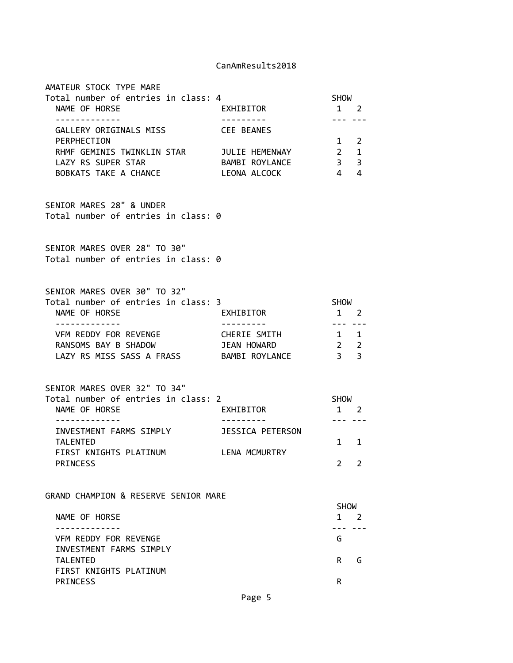| AMATEUR STOCK TYPE MARE<br>Total number of entries in class: 4<br>NAME OF HORSE<br>.                                    | EXHIBITOR               | <b>SHOW</b><br>1 2<br>$\frac{1}{2} \left( \frac{1}{2} \right) \left( \frac{1}{2} \right) \left( \frac{1}{2} \right) \left( \frac{1}{2} \right) \left( \frac{1}{2} \right) \left( \frac{1}{2} \right) \left( \frac{1}{2} \right) \left( \frac{1}{2} \right) \left( \frac{1}{2} \right) \left( \frac{1}{2} \right) \left( \frac{1}{2} \right) \left( \frac{1}{2} \right) \left( \frac{1}{2} \right) \left( \frac{1}{2} \right) \left( \frac{1}{2} \right) \left( \frac{1}{2} \right) \left( \frac$ |
|-------------------------------------------------------------------------------------------------------------------------|-------------------------|--------------------------------------------------------------------------------------------------------------------------------------------------------------------------------------------------------------------------------------------------------------------------------------------------------------------------------------------------------------------------------------------------------------------------------------------------------------------------------------------------|
| GALLERY ORIGINALS MISS CEE BEANES<br>PERPHECTION<br>RHMF GEMINIS TWINKLIN STAR JULIE HEMENWAY 2 1<br>LAZY RS SUPER STAR | BAMBI ROYLANCE          | $1 \quad 2$<br>3 <sup>3</sup>                                                                                                                                                                                                                                                                                                                                                                                                                                                                    |
| BOBKATS TAKE A CHANCE                                                                                                   | LEONA ALCOCK            | $4 \quad 4$                                                                                                                                                                                                                                                                                                                                                                                                                                                                                      |
| SENIOR MARES 28" & UNDER<br>Total number of entries in class: 0                                                         |                         |                                                                                                                                                                                                                                                                                                                                                                                                                                                                                                  |
| SENIOR MARES OVER 28" TO 30"<br>Total number of entries in class: 0                                                     |                         |                                                                                                                                                                                                                                                                                                                                                                                                                                                                                                  |
| SENIOR MARES OVER 30" TO 32"<br>Total number of entries in class: 3                                                     |                         | SHOW                                                                                                                                                                                                                                                                                                                                                                                                                                                                                             |
| NAME OF HORSE<br>. <u>.</u>                                                                                             | EXHIBITOR<br>---------- | $1 \quad 2$<br>. <b>.</b>                                                                                                                                                                                                                                                                                                                                                                                                                                                                        |
| VFM REDDY FOR REVENGE                                                                                                   | CHERIE SMITH            | $1 \quad 1$                                                                                                                                                                                                                                                                                                                                                                                                                                                                                      |
| RANSOMS BAY B SHADOW<br>LAZY RS MISS SASS A FRASS BAMBI ROYLANCE                                                        | JEAN HOWARD             | 2 <sub>2</sub><br>3 <sup>3</sup>                                                                                                                                                                                                                                                                                                                                                                                                                                                                 |
| SENIOR MARES OVER 32" TO 34"<br>Total number of entries in class: 2                                                     |                         | <b>SHOW</b>                                                                                                                                                                                                                                                                                                                                                                                                                                                                                      |
| NAME OF HORSE                                                                                                           | EXHIBITOR               | 1 2                                                                                                                                                                                                                                                                                                                                                                                                                                                                                              |
| INVESTMENT FARMS SIMPLY JESSICA PETERSON<br><b>TALENTED</b>                                                             |                         | --- ---<br>$1 \quad$<br>1                                                                                                                                                                                                                                                                                                                                                                                                                                                                        |
| FIRST KNIGHTS PLATINUM LENA MCMURTRY<br><b>PRINCESS</b>                                                                 |                         | 2<br>2                                                                                                                                                                                                                                                                                                                                                                                                                                                                                           |
| GRAND CHAMPION & RESERVE SENIOR MARE                                                                                    |                         |                                                                                                                                                                                                                                                                                                                                                                                                                                                                                                  |
| NAME OF HORSE                                                                                                           |                         | <b>SHOW</b><br>1<br>-2                                                                                                                                                                                                                                                                                                                                                                                                                                                                           |
| VFM REDDY FOR REVENGE<br>INVESTMENT FARMS SIMPLY                                                                        |                         | --- ---<br>G.                                                                                                                                                                                                                                                                                                                                                                                                                                                                                    |
| <b>TALENTED</b><br>FIRST KNIGHTS PLATINUM                                                                               |                         | G<br>R.                                                                                                                                                                                                                                                                                                                                                                                                                                                                                          |
| <b>PRINCESS</b>                                                                                                         |                         | R                                                                                                                                                                                                                                                                                                                                                                                                                                                                                                |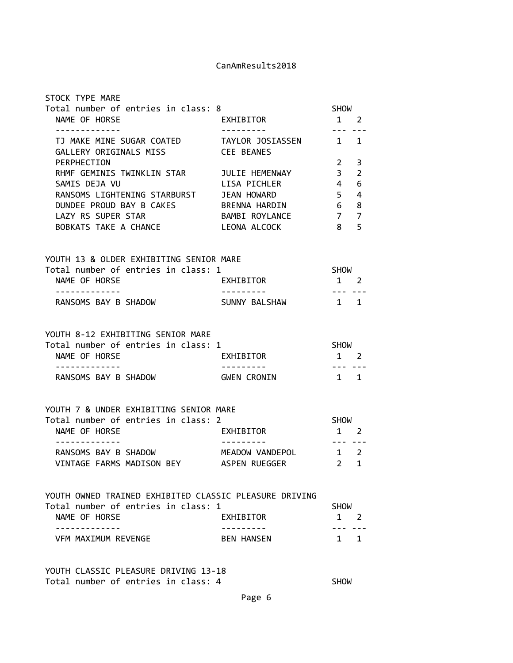| STOCK TYPE MARE                                                                               |                                                      |                                                                                                                                                                                                                                                                                                                                                                                                                                                                                           |                |
|-----------------------------------------------------------------------------------------------|------------------------------------------------------|-------------------------------------------------------------------------------------------------------------------------------------------------------------------------------------------------------------------------------------------------------------------------------------------------------------------------------------------------------------------------------------------------------------------------------------------------------------------------------------------|----------------|
| Total number of entries in class: 8<br>NAME OF HORSE                                          | EXHIBITOR                                            | SHOW<br>$1 \quad 2$                                                                                                                                                                                                                                                                                                                                                                                                                                                                       |                |
| -------------                                                                                 | ----------                                           | . <b>.</b>                                                                                                                                                                                                                                                                                                                                                                                                                                                                                |                |
| TJ MAKE MINE SUGAR COATED TAYLOR JOSIASSEN 1 1<br>GALLERY ORIGINALS MISS                      | <b>CEE BEANES</b>                                    |                                                                                                                                                                                                                                                                                                                                                                                                                                                                                           |                |
| PERPHECTION                                                                                   |                                                      | 2                                                                                                                                                                                                                                                                                                                                                                                                                                                                                         | 3              |
| RHMF GEMINIS TWINKLIN STAR JULIE HEMENWAY                                                     |                                                      | 3 <sup>7</sup>                                                                                                                                                                                                                                                                                                                                                                                                                                                                            | $\overline{2}$ |
| SAMIS DEJA VU                                                                                 | LISA PICHLER                                         | $\overline{4}$                                                                                                                                                                                                                                                                                                                                                                                                                                                                            | 6              |
| RANSOMS LIGHTENING STARBURST JEAN HOWARD                                                      |                                                      | 5 <sup>5</sup>                                                                                                                                                                                                                                                                                                                                                                                                                                                                            | 4              |
| DUNDEE PROUD BAY B CAKES BRENNA HARDIN 6                                                      |                                                      |                                                                                                                                                                                                                                                                                                                                                                                                                                                                                           | 8              |
| LAZY RS SUPER STAR                                                                            | BAMBI ROYLANCE                                       | $7^{\circ}$                                                                                                                                                                                                                                                                                                                                                                                                                                                                               | $\overline{7}$ |
| BOBKATS TAKE A CHANCE LEONA ALCOCK                                                            |                                                      | 8 <sup>1</sup>                                                                                                                                                                                                                                                                                                                                                                                                                                                                            | 5              |
| YOUTH 13 & OLDER EXHIBITING SENIOR MARE                                                       |                                                      |                                                                                                                                                                                                                                                                                                                                                                                                                                                                                           |                |
| Total number of entries in class: 1                                                           |                                                      | SHOW                                                                                                                                                                                                                                                                                                                                                                                                                                                                                      |                |
| NAME OF HORSE                                                                                 | EXHIBITOR                                            | $1 \quad 2$                                                                                                                                                                                                                                                                                                                                                                                                                                                                               |                |
| <u> - - - - - - - - - - - - -</u><br>RANSOMS BAY B SHADOW                                     | . <u>.</u><br>SUNNY BALSHAW                          | --------<br>$1 \quad 1$                                                                                                                                                                                                                                                                                                                                                                                                                                                                   |                |
|                                                                                               |                                                      |                                                                                                                                                                                                                                                                                                                                                                                                                                                                                           |                |
| YOUTH 8-12 EXHIBITING SENIOR MARE                                                             |                                                      |                                                                                                                                                                                                                                                                                                                                                                                                                                                                                           |                |
| Total number of entries in class: 1                                                           |                                                      | SHOW                                                                                                                                                                                                                                                                                                                                                                                                                                                                                      |                |
| NAME OF HORSE<br>.                                                                            | <b>EXHIBITOR</b><br>__________                       | $1 \quad 2$<br>$\frac{1}{2} \left( \frac{1}{2} \right) \left( \frac{1}{2} \right) \left( \frac{1}{2} \right) \left( \frac{1}{2} \right) \left( \frac{1}{2} \right) \left( \frac{1}{2} \right) \left( \frac{1}{2} \right) \left( \frac{1}{2} \right) \left( \frac{1}{2} \right) \left( \frac{1}{2} \right) \left( \frac{1}{2} \right) \left( \frac{1}{2} \right) \left( \frac{1}{2} \right) \left( \frac{1}{2} \right) \left( \frac{1}{2} \right) \left( \frac{1}{2} \right) \left( \frac$ |                |
| RANSOMS BAY B SHADOW                                                                          | <b>GWEN CRONIN</b>                                   | $1 \quad 1$                                                                                                                                                                                                                                                                                                                                                                                                                                                                               |                |
| YOUTH 7 & UNDER EXHIBITING SENIOR MARE                                                        |                                                      |                                                                                                                                                                                                                                                                                                                                                                                                                                                                                           |                |
| Total number of entries in class: 2                                                           |                                                      | SHOW                                                                                                                                                                                                                                                                                                                                                                                                                                                                                      |                |
| NAME OF HORSE                                                                                 | EXHIBITOR                                            | $1 \quad 2$                                                                                                                                                                                                                                                                                                                                                                                                                                                                               |                |
| -------------<br>RANSOMS BAY B SHADOW                                                         | <u> - - - - - - - - - - -</u><br>MEADOW VANDEPOL 1 2 | $\frac{1}{2} \left( \frac{1}{2} \right) \left( \frac{1}{2} \right) \left( \frac{1}{2} \right) \left( \frac{1}{2} \right) \left( \frac{1}{2} \right) \left( \frac{1}{2} \right) \left( \frac{1}{2} \right) \left( \frac{1}{2} \right) \left( \frac{1}{2} \right) \left( \frac{1}{2} \right) \left( \frac{1}{2} \right) \left( \frac{1}{2} \right) \left( \frac{1}{2} \right) \left( \frac{1}{2} \right) \left( \frac{1}{2} \right) \left( \frac{1}{2} \right) \left( \frac$                |                |
| VINTAGE FARMS MADISON BEY                                                                     | ASPEN RUEGGER                                        | $\overline{2}$                                                                                                                                                                                                                                                                                                                                                                                                                                                                            | $\mathbf{1}$   |
|                                                                                               |                                                      |                                                                                                                                                                                                                                                                                                                                                                                                                                                                                           |                |
| YOUTH OWNED TRAINED EXHIBITED CLASSIC PLEASURE DRIVING<br>Total number of entries in class: 1 |                                                      | <b>SHOW</b>                                                                                                                                                                                                                                                                                                                                                                                                                                                                               |                |
| NAME OF HORSE                                                                                 | EXHIBITOR                                            | $1 \quad 2$                                                                                                                                                                                                                                                                                                                                                                                                                                                                               |                |
| VFM MAXIMUM REVENGE                                                                           | BEN HANSEN                                           | $1 \quad 1$                                                                                                                                                                                                                                                                                                                                                                                                                                                                               |                |
|                                                                                               |                                                      |                                                                                                                                                                                                                                                                                                                                                                                                                                                                                           |                |

YOUTH CLASSIC PLEASURE DRIVING 13-18 Total number of entries in class: 4 SHOW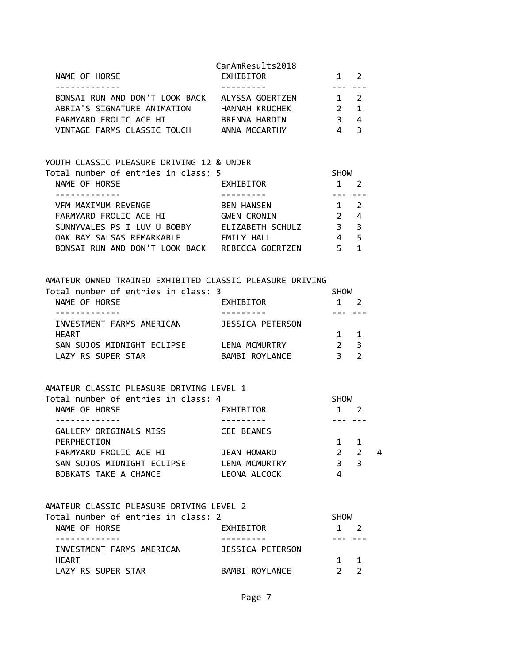| NAME OF HORSE<br>- - - - - - - - - - - - -                     | CanAmResults2018<br>EXHIBITOR |                         | 1 2<br>$\frac{1}{2}$      |   |
|----------------------------------------------------------------|-------------------------------|-------------------------|---------------------------|---|
| BONSAI RUN AND DON'T LOOK BACK ALYSSA GOERTZEN 1 2             |                               |                         |                           |   |
| ABRIA'S SIGNATURE ANIMATION HANNAH KRUCHEK 2 1                 |                               |                         |                           |   |
| FARMYARD FROLIC ACE HI BRENNA HARDIN                           |                               | $3 \quad 4$             |                           |   |
| VINTAGE FARMS CLASSIC TOUCH ANNA MCCARTHY                      |                               | 4 <sup>3</sup>          |                           |   |
| YOUTH CLASSIC PLEASURE DRIVING 12 & UNDER                      |                               |                         |                           |   |
| Total number of entries in class: 5                            |                               | SHOW                    |                           |   |
| NAME OF HORSE<br>. <u>.</u> .                                  | <b>EXHIBITOR</b>              | $1 \quad 2$<br>---- --- |                           |   |
| VFM MAXIMUM REVENGE                                            | <b>BEN HANSEN</b>             | $1 \quad 2$             |                           |   |
| FARMYARD FROLIC ACE HI GWEN CRONIN                             |                               | $2 \quad 4$             |                           |   |
| SUNNYVALES PS I LUV U BOBBY ELIZABETH SCHULZ                   |                               | 3 <sup>3</sup>          |                           |   |
| OAK BAY SALSAS REMARKABLE EMILY HALL                           |                               | 4 5                     |                           |   |
| BONSAI RUN AND DON'T LOOK BACK REBECCA GOERTZEN 5 1            |                               |                         |                           |   |
| AMATEUR OWNED TRAINED EXHIBITED CLASSIC PLEASURE DRIVING       |                               |                         |                           |   |
| Total number of entries in class: 3                            |                               | SHOW                    |                           |   |
| NAME OF HORSE<br>-------------                                 | EXHIBITOR<br>----------       | $1 \quad 2$             | $- - - - - - - -$         |   |
| INVESTMENT FARMS AMERICAN JESSICA PETERSON                     |                               |                         |                           |   |
| HEART                                                          |                               |                         | $1 \quad 1$               |   |
| SAN SUJOS MIDNIGHT ECLIPSE LENA MCMURTRY<br>LAZY RS SUPER STAR | BAMBI ROYLANCE                | $3 \quad 2$             | $2 \quad 3$               |   |
|                                                                |                               |                         |                           |   |
| AMATEUR CLASSIC PLEASURE DRIVING LEVEL 1                       |                               |                         |                           |   |
| Total number of entries in class: 4                            |                               | SHOW                    |                           |   |
| NAME OF HORSE<br>-------------                                 | EXHIBITOR<br>----------       | $1 \quad 2$             | --- ---                   |   |
| GALLERY ORIGINALS MISS CEE BEANES                              |                               |                         |                           |   |
| PERPHECTION                                                    |                               | $\mathbf{1}$            | 1                         |   |
| FARMYARD FROLIC ACE HI                                         | JEAN HOWARD                   | $2^{\circ}$             | $\overline{2}$            | 4 |
| SAN SUJOS MIDNIGHT ECLIPSE                                     | LENA MCMURTRY                 | 3 <sup>7</sup>          | $\overline{3}$            |   |
| BOBKATS TAKE A CHANCE                                          | LEONA ALCOCK                  | 4                       |                           |   |
| AMATEUR CLASSIC PLEASURE DRIVING LEVEL 2                       |                               |                         |                           |   |
| Total number of entries in class: 2                            |                               | SHOW                    |                           |   |
| NAME OF HORSE<br>. <u>.</u>                                    | EXHIBITOR                     |                         | $1 \quad 2$<br>. <u>.</u> |   |
| INVESTMENT FARMS AMERICAN                                      | JESSICA PETERSON              |                         |                           |   |
| HEART                                                          |                               |                         | 1 1                       |   |
| LAZY RS SUPER STAR                                             | BAMBI ROYLANCE                | $2 \sqrt{2}$            | $\overline{2}$            |   |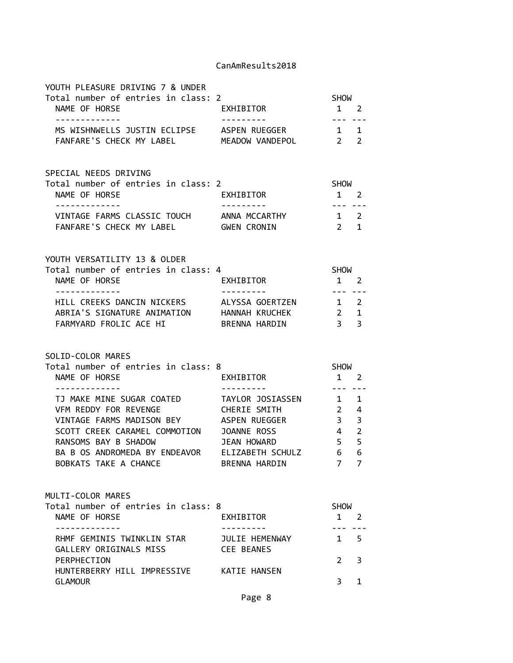| YOUTH PLEASURE DRIVING 7 & UNDER<br>Total number of entries in class: 2<br>NAME OF HORSE<br>-------------                                                                                                                                                                 | EXHIBITOR<br>----------                                                     | <b>SHOW</b><br>$1 \quad 2$                                                    |                          |
|---------------------------------------------------------------------------------------------------------------------------------------------------------------------------------------------------------------------------------------------------------------------------|-----------------------------------------------------------------------------|-------------------------------------------------------------------------------|--------------------------|
| MS WISHNWELLS JUSTIN ECLIPSE ASPEN RUEGGER 1 1<br>FANFARE'S CHECK MY LABEL MEADOW VANDEPOL 2 2                                                                                                                                                                            |                                                                             |                                                                               |                          |
| SPECIAL NEEDS DRIVING<br>Total number of entries in class: 2<br>NAME OF HORSE<br>-------------                                                                                                                                                                            | EXHIBITOR                                                                   | SHOW<br>$1 \quad 2$<br>.                                                      |                          |
| VINTAGE FARMS CLASSIC TOUCH ANNA MCCARTHY 1 2<br>FANFARE'S CHECK MY LABEL GWEN CRONIN                                                                                                                                                                                     |                                                                             | 2 1                                                                           |                          |
| YOUTH VERSATILITY 13 & OLDER<br>Total number of entries in class: 4<br>NAME OF HORSE<br>.                                                                                                                                                                                 | <b>EXHIBITOR</b>                                                            | SHOW<br>$1 \quad 2$<br>---- ---                                               |                          |
| HILL CREEKS DANCIN NICKERS ALYSSA GOERTZEN 1 2<br>ABRIA'S SIGNATURE ANIMATION HANNAH KRUCHEK<br>FARMYARD FROLIC ACE HI                                                                                                                                                    | BRENNA HARDIN                                                               | $2 \t 1$<br>$\overline{\mathbf{3}}$                                           | 3                        |
|                                                                                                                                                                                                                                                                           |                                                                             |                                                                               |                          |
| SOLID-COLOR MARES                                                                                                                                                                                                                                                         |                                                                             |                                                                               |                          |
| Total number of entries in class: 8<br>NAME OF HORSE                                                                                                                                                                                                                      | EXHIBITOR                                                                   | SHOW<br>$1 \quad 2$                                                           |                          |
| -------------<br>TJ MAKE MINE SUGAR COATED TAYLOR JOSIASSEN 1 1<br>VFM REDDY FOR REVENGE<br>VINTAGE FARMS MADISON BEY<br>SCOTT CREEK CARAMEL COMMOTION JOANNE ROSS<br>RANSOMS BAY B SHADOW<br>BA B OS ANDROMEDA BY ENDEAVOR ELIZABETH SCHULZ 6 6<br>BOBKATS TAKE A CHANCE | ----------<br>CHERIE SMITH<br>ASPEN RUEGGER<br>JEAN HOWARD<br>BRENNA HARDIN | $2 \quad 4$<br>$3 \quad 3$<br>$\overline{4}$<br>5 <sup>5</sup><br>$7^{\circ}$ | $\overline{2}$<br>5<br>7 |
| MULTI-COLOR MARES<br>Total number of entries in class: 8<br>NAME OF HORSE                                                                                                                                                                                                 | EXHIBITOR                                                                   | <b>SHOW</b><br>$\mathbf{1}$                                                   | $\overline{2}$           |
| ------------<br>RHMF GEMINIS TWINKLIN STAR JULIE HEMENWAY                                                                                                                                                                                                                 |                                                                             | --- ---<br>$1 \quad$                                                          | 5                        |
| GALLERY ORIGINALS MISS<br>PERPHECTION<br>HUNTERBERRY HILL IMPRESSIVE KATIE HANSEN                                                                                                                                                                                         | <b>CEE BEANES</b>                                                           | $\overline{2}$                                                                | 3                        |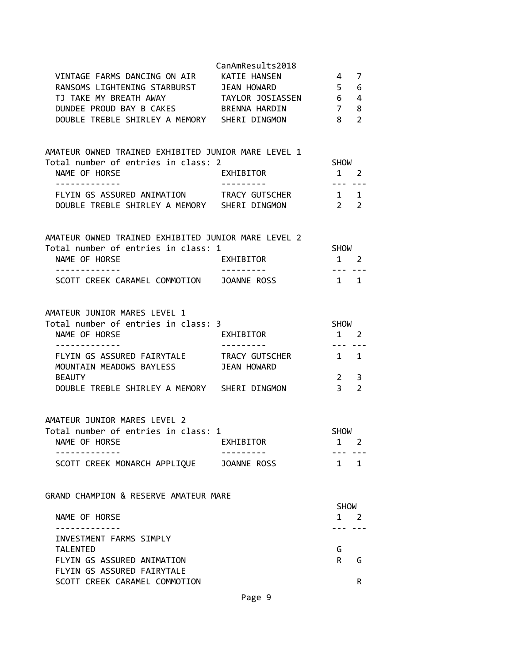|                                                                                                       | CanAmResults2018       |                            |                |
|-------------------------------------------------------------------------------------------------------|------------------------|----------------------------|----------------|
| VINTAGE FARMS DANCING ON AIR                                                                          | KATIE HANSEN           | 4                          | 7              |
| RANSOMS LIGHTENING STARBURST JEAN HOWARD                                                              |                        | 5 <sup>5</sup>             | 6              |
| TJ TAKE MY BREATH AWAY TAYLOR JOSIASSEN 6 4                                                           |                        |                            |                |
| DUNDEE PROUD BAY B CAKES BRENNA HARDIN                                                                |                        | $\overline{7}$             | 8              |
| DOUBLE TREBLE SHIRLEY A MEMORY SHERI DINGMON                                                          |                        | 8 <sup>8</sup>             | $\overline{2}$ |
| AMATEUR OWNED TRAINED EXHIBITED JUNIOR MARE LEVEL 1                                                   |                        |                            |                |
| Total number of entries in class: 2                                                                   |                        | SHOW                       |                |
| NAME OF HORSE                                                                                         | EXHIBITOR              | $1 \quad 2$                |                |
| -------------<br>FLYIN GS ASSURED ANIMATION TRACY GUTSCHER 1 1                                        |                        | -------                    |                |
| DOUBLE TREBLE SHIRLEY A MEMORY SHERI DINGMON                                                          |                        | $2 \t 2$                   |                |
| AMATEUR OWNED TRAINED EXHIBITED JUNIOR MARE LEVEL 2                                                   |                        |                            |                |
| Total number of entries in class: 1                                                                   |                        | SHOW                       |                |
| NAME OF HORSE                                                                                         | EXHIBITOR              | $1 \quad 2$                |                |
| --------------<br>SCOTT CREEK CARAMEL COMMOTION JOANNE ROSS                                           | ----------             | $1 \quad 1$                |                |
| AMATEUR JUNIOR MARES LEVEL 1<br>Total number of entries in class: 3<br>NAME OF HORSE<br>------------- | EXHIBITOR<br>--------- | <b>SHOW</b><br>$1 \quad 2$ |                |
| FLYIN GS ASSURED FAIRYTALE TRACY GUTSCHER 1 1<br>MOUNTAIN MEADOWS BAYLESS                             | <b>JEAN HOWARD</b>     |                            |                |
| <b>BEAUTY</b>                                                                                         |                        | $\overline{2}$             | 3              |
| DOUBLE TREBLE SHIRLEY A MEMORY SHERI DINGMON                                                          |                        | 3 <sup>7</sup>             | $\overline{2}$ |
| AMATEUR JUNIOR MARES LEVEL 2<br>Total number of entries in class: 1<br>NAME OF HORSE                  | EXHIBITOR              | <b>SHOW</b><br>1           | 2              |
|                                                                                                       |                        |                            |                |
| SCOTT CREEK MONARCH APPLIQUE JOANNE ROSS                                                              |                        |                            | $1 \quad 1$    |
| GRAND CHAMPION & RESERVE AMATEUR MARE                                                                 |                        |                            |                |
|                                                                                                       |                        | <b>SHOW</b>                |                |
| NAME OF HORSE                                                                                         |                        |                            | $1 \quad 2$    |
| INVESTMENT FARMS SIMPLY                                                                               |                        |                            |                |
| <b>TALENTED</b>                                                                                       |                        | G                          |                |
| FLYIN GS ASSURED ANIMATION                                                                            |                        | R                          | G              |
| FLYIN GS ASSURED FAIRYTALE<br>SCOTT CREEK CARAMEL COMMOTION                                           |                        |                            | R              |
|                                                                                                       |                        |                            |                |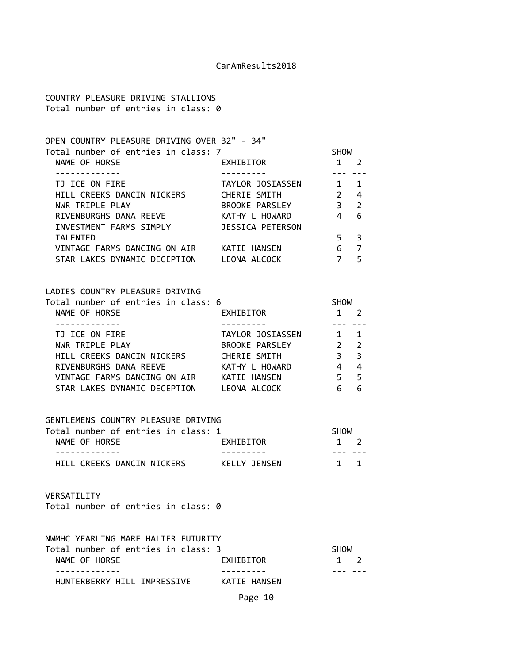COUNTRY PLEASURE DRIVING STALLIONS Total number of entries in class: 0

| OPEN COUNTRY PLEASURE DRIVING OVER 32" - 34" |                  |               |               |  |
|----------------------------------------------|------------------|---------------|---------------|--|
| Total number of entries in class: 7          |                  | <b>SHOW</b>   |               |  |
| NAME OF HORSE                                | EXHIBITOR        |               |               |  |
|                                              |                  |               |               |  |
| TJ ICE ON FIRE                               | TAYLOR JOSIASSEN | 1             |               |  |
| HILL CREEKS DANCIN NICKERS                   | CHERIE SMITH     | $\mathcal{P}$ | 4             |  |
| NWR TRIPLE PLAY                              | BROOKE PARSLEY   | 3             | $\mathcal{P}$ |  |
| RIVENBURGHS DANA REEVE                       | KATHY L HOWARD   |               | 6             |  |
| INVESTMENT FARMS SIMPLY                      | JESSICA PETERSON |               |               |  |
| <b>TALENTED</b>                              |                  | 5.            | 3             |  |
| VINTAGE FARMS DANCING ON AIR                 | KATIE HANSEN     | 6             |               |  |
| STAR LAKES DYNAMIC DECEPTION                 | LEONA ALCOCK     |               | 5             |  |
|                                              |                  |               |               |  |

# LADIES COUNTRY PLEASURE DRIVING

| Total number of entries in class: 6 |                  | <b>SHOW</b> |                         |  |
|-------------------------------------|------------------|-------------|-------------------------|--|
| NAME OF HORSE                       | EXHIBITOR        |             | 2                       |  |
|                                     |                  |             |                         |  |
| TJ ICE ON FIRE                      | TAYLOR JOSIASSEN |             | $\overline{1}$          |  |
| NWR TRIPLE PLAY                     | BROOKE PARSLEY   |             | $\overline{2}$          |  |
| HILL CREEKS DANCIN NICKERS          | CHERIE SMITH     | 3           | $\overline{\mathbf{3}}$ |  |
| RIVENBURGHS DANA REEVE              | KATHY L HOWARD   | 4           | 4                       |  |
| VINTAGE FARMS DANCING ON AIR        | KATIE HANSEN     |             | - 5                     |  |
| STAR LAKES DYNAMIC DECEPTION        | LEONA ALCOCK     |             | 6                       |  |

#### GENTLEMENS COUNTRY PLEASURE DRIVING

| Total number of entries in class: 1 |              | <b>SHOW</b> |  |
|-------------------------------------|--------------|-------------|--|
| NAME OF HORSE                       | EXHIBITOR    | $1 \quad 2$ |  |
|                                     |              |             |  |
| HILL CREEKS DANCIN NICKERS          | KELLY JENSEN | 1 1         |  |

#### VERSATILITY

Total number of entries in class: 0

| NWMHC YEARLING MARE HALTER FUTURITY |              |             |             |
|-------------------------------------|--------------|-------------|-------------|
| Total number of entries in class: 3 |              | <b>SHOW</b> |             |
| NAME OF HORSE                       | EXHIBITOR    |             | $1 \quad 2$ |
|                                     |              |             |             |
| HUNTERBERRY HILL IMPRESSIVE         | KATIE HANSEN |             |             |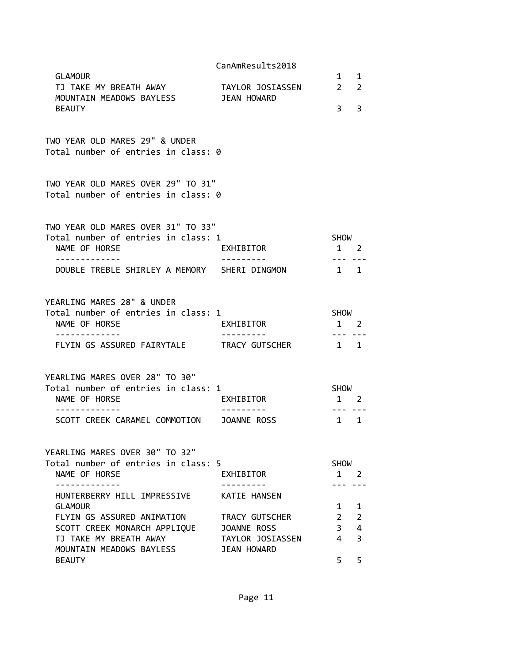|                                                                                                                                            | CanAmResults2018                       |                                                      |                     |
|--------------------------------------------------------------------------------------------------------------------------------------------|----------------------------------------|------------------------------------------------------|---------------------|
| <b>GLAMOUR</b><br>TJ TAKE MY BREATH AWAY                                                                                                   | TAYLOR JOSIASSEN                       | $\mathbf{1}$<br>$2^{\circ}$                          | 1<br>$\overline{2}$ |
| MOUNTAIN MEADOWS BAYLESS<br><b>BEAUTY</b>                                                                                                  | JEAN HOWARD                            | $3^{\circ}$                                          | 3                   |
| TWO YEAR OLD MARES 29" & UNDER<br>Total number of entries in class: 0                                                                      |                                        |                                                      |                     |
| TWO YEAR OLD MARES OVER 29" TO 31"<br>Total number of entries in class: 0                                                                  |                                        |                                                      |                     |
| TWO YEAR OLD MARES OVER 31" TO 33"<br>Total number of entries in class: 1<br>NAME OF HORSE<br>DOUBLE TREBLE SHIRLEY A MEMORY SHERI DINGMON | EXHIBITOR                              | <b>SHOW</b><br>$1 \quad 2$<br>$- - -$<br>$1 \quad 1$ |                     |
| YEARLING MARES 28" & UNDER<br>Total number of entries in class: 1<br>NAME OF HORSE<br>. <u>- - - - - - - - - - -</u> -                     | EXHIBITOR<br>. <u>.</u>                | <b>SHOW</b><br>1 2<br>--- ---                        |                     |
| FLYIN GS ASSURED FAIRYTALE TRACY GUTSCHER                                                                                                  |                                        | 1 1                                                  |                     |
| YEARLING MARES OVER 28" TO 30"<br>Total number of entries in class: 1<br>NAME OF HORSE<br>SCOTT CREEK CARAMEL COMMOTION JOANNE ROSS        | EXHIBITOR                              | <b>SHOW</b><br>$1 \quad 2$<br>$- - -$<br>$1 \quad 1$ |                     |
| YEARLING MARES OVER 30" TO 32"<br>Total number of entries in class: 5<br>NAME OF HORSE                                                     | EXHIBITOR                              | <b>SHOW</b><br>$1\quad 2$                            |                     |
| HUNTERBERRY HILL IMPRESSIVE<br><b>GLAMOUR</b>                                                                                              | <b>KATIE HANSEN</b>                    | $1 \quad$                                            | 1                   |
| FLYIN GS ASSURED ANIMATION                                                                                                                 | TRACY GUTSCHER                         | $2^{\circ}$                                          | $\overline{2}$      |
| SCOTT CREEK MONARCH APPLIQUE                                                                                                               | JOANNE ROSS                            | 3 <sup>7</sup>                                       | 4                   |
| TJ TAKE MY BREATH AWAY<br>MOUNTAIN MEADOWS BAYLESS                                                                                         | TAYLOR JOSIASSEN<br><b>JEAN HOWARD</b> | $\overline{4}$                                       | 3                   |
| <b>BEAUTY</b>                                                                                                                              |                                        | 5                                                    | 5                   |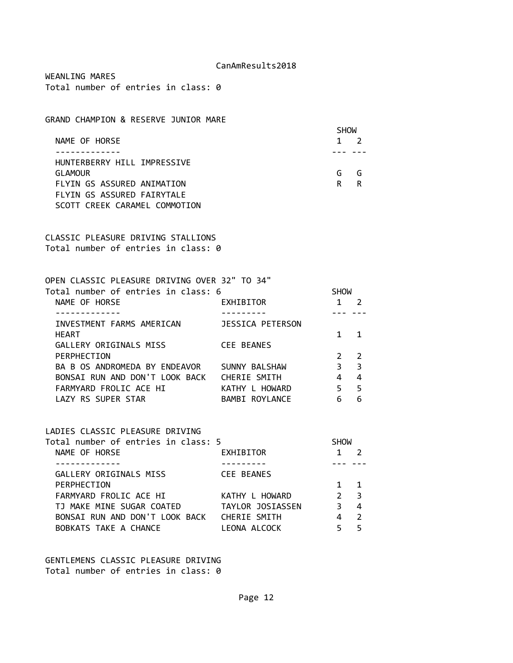WEANLING MARES Total number of entries in class: 0

GRAND CHAMPION & RESERVE JUNIOR MARE

|                               | <b>SHOW</b> |   |  |
|-------------------------------|-------------|---|--|
| NAME OF HORSE                 |             |   |  |
|                               |             |   |  |
| HUNTERBERRY HILL IMPRESSIVE   |             |   |  |
| <b>GLAMOUR</b>                | G           | G |  |
| FLYIN GS ASSURED ANIMATION    | R           | R |  |
| FLYIN GS ASSURED FAIRYTALE    |             |   |  |
| SCOTT CREEK CARAMEL COMMOTION |             |   |  |

CLASSIC PLEASURE DRIVING STALLIONS Total number of entries in class: 0

| OPEN CLASSIC PLEASURE DRIVING OVER 32" TO 34" |                         |             |               |  |
|-----------------------------------------------|-------------------------|-------------|---------------|--|
| Total number of entries in class: 6           |                         | <b>SHOW</b> |               |  |
| NAME OF HORSE                                 | EXHIBITOR               |             |               |  |
|                                               |                         |             |               |  |
| INVESTMENT FARMS AMERICAN                     | <b>JESSICA PETERSON</b> |             |               |  |
| <b>HEART</b>                                  |                         |             |               |  |
| GALLERY ORIGINALS MISS                        | CEE BEANES              |             |               |  |
| PERPHECTION                                   |                         |             | $\mathcal{P}$ |  |
| BA B OS ANDROMEDA BY ENDEAVOR                 | SUNNY BALSHAW           | ξ           | 3             |  |
| BONSAI RUN AND DON'T LOOK BACK                | CHERIE SMITH            | 4           | 4             |  |
| FARMYARD FROLIC ACE HI                        | KATHY L HOWARD          | 5           | 5             |  |
| LAZY RS SUPER STAR                            | BAMBI ROYLANCE          |             | 6             |  |
|                                               |                         |             |               |  |

# LADIES CLASSIC PLEASURE DRIVING

| Total number of entries in class: 5 |                   | <b>SHOW</b>   |                         |
|-------------------------------------|-------------------|---------------|-------------------------|
| NAME OF HORSE                       | EXHIBITOR         |               |                         |
|                                     |                   |               |                         |
| GALLERY ORIGINALS MISS              | <b>CEE BEANES</b> |               |                         |
| PERPHECTION                         |                   |               |                         |
| FARMYARD FROLIC ACE HI              | KATHY L HOWARD    | $\mathcal{P}$ | $\overline{\mathbf{3}}$ |
| TJ MAKE MINE SUGAR COATED           | TAYLOR JOSIASSEN  |               | 4                       |
| BONSAI RUN AND DON'T LOOK BACK      | CHERIE SMITH      |               | $\mathcal{L}$           |
| BOBKATS TAKE A CHANCE               | LEONA ALCOCK      |               |                         |

### GENTLEMENS CLASSIC PLEASURE DRIVING Total number of entries in class: 0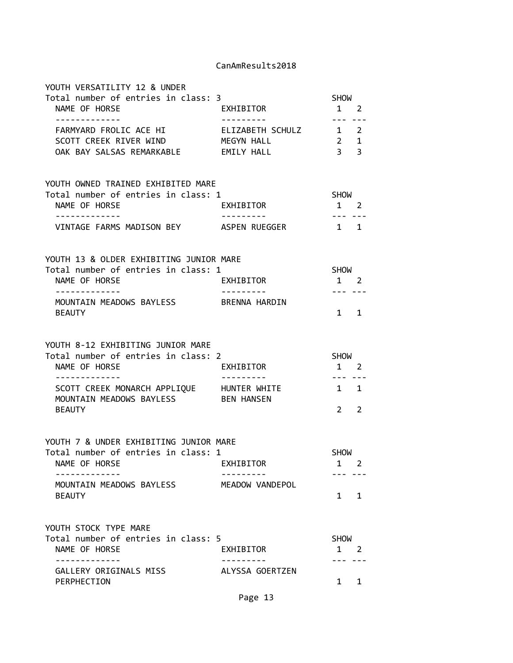| YOUTH VERSATILITY 12 & UNDER<br>Total number of entries in class: 3<br>NAME OF HORSE<br>-------------                     | EXHIBITOR<br>--------- | <b>SHOW</b><br>$1 \quad 2$<br>---- --- |                |
|---------------------------------------------------------------------------------------------------------------------------|------------------------|----------------------------------------|----------------|
| FARMYARD FROLIC ACE HI FALIZABETH SCHULZ 1 2<br>SCOTT CREEK RIVER WIND MEGYN HALL<br>OAK BAY SALSAS REMARKABLE EMILY HALL |                        | $2 \quad 1$<br>$\overline{\mathbf{3}}$ | $\overline{3}$ |
| YOUTH OWNED TRAINED EXHIBITED MARE<br>Total number of entries in class: 1                                                 |                        | SHOW                                   |                |
| NAME OF HORSE                                                                                                             | EXHIBITOR              | $1 \quad 2$                            |                |
| -------------<br>VINTAGE FARMS MADISON BEY ASPEN RUEGGER                                                                  | ----------             | --------<br>$1 \quad 1$                |                |
| YOUTH 13 & OLDER EXHIBITING JUNIOR MARE<br>Total number of entries in class: 1                                            |                        | SHOW                                   |                |
| NAME OF HORSE                                                                                                             | <b>EXHIBITOR</b>       | $1 \quad 2$                            |                |
| -------------<br>MOUNTAIN MEADOWS BAYLESS BRENNA HARDIN<br><b>BEAUTY</b>                                                  | ---------              | --- ---<br>$1 \quad 1$                 |                |
| YOUTH 8-12 EXHIBITING JUNIOR MARE<br>Total number of entries in class: 2<br>NAME OF HORSE                                 | EXHIBITOR              | SHOW<br>$1\quad 2$                     |                |
| -------------                                                                                                             | ---------              |                                        |                |
| SCOTT CREEK MONARCH APPLIQUE HUNTER WHITE<br>MOUNTAIN MEADOWS BAYLESS                                                     | <b>BEN HANSEN</b>      | $1 \quad 1$                            |                |
| <b>BEAUTY</b>                                                                                                             |                        | $\overline{2}$                         | 2              |
| YOUTH 7 & UNDER EXHIBITING JUNIOR MARE<br>Total number of entries in class: 1                                             |                        | <b>SHOW</b>                            |                |
| NAME OF HORSE                                                                                                             | EXHIBITOR              | $1 \quad 2$                            |                |
| MOUNTAIN MEADOWS BAYLESS                                                                                                  | MEADOW VANDEPOL        |                                        |                |
| <b>BEAUTY</b>                                                                                                             |                        | 1                                      | 1              |
| YOUTH STOCK TYPE MARE                                                                                                     |                        | SHOW                                   |                |
| Total number of entries in class: 5<br>NAME OF HORSE                                                                      | EXHIBITOR              | 1 2                                    |                |
| GALLERY ORIGINALS MISS<br>PERPHECTION                                                                                     | ALYSSA GOERTZEN        | 1                                      | 1              |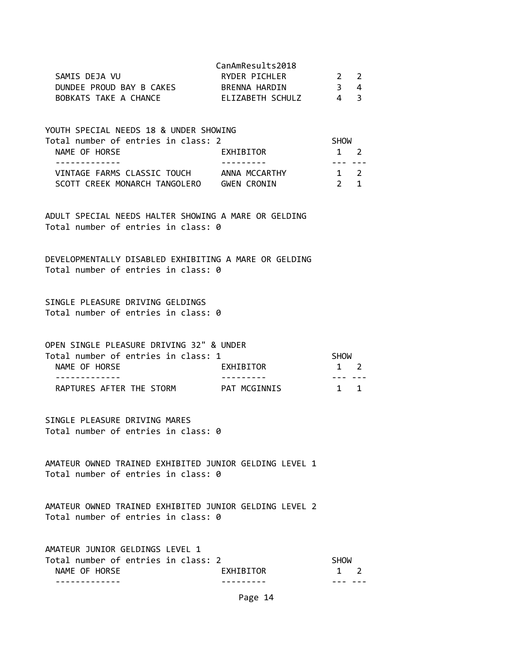|                          | CanAmResults2018 |              |  |
|--------------------------|------------------|--------------|--|
| SAMIS DEJA VU            | RYDER PICHLER    | $2 \sqrt{2}$ |  |
| DUNDEE PROUD BAY B CAKES | BRENNA HARDIN    | 3 4          |  |
| BOBKATS TAKE A CHANCE    | ELIZABETH SCHULZ | Δ            |  |

| YOUTH SPECIAL NEEDS 18 & UNDER SHOWING |                    |             |             |  |
|----------------------------------------|--------------------|-------------|-------------|--|
| Total number of entries in class: 2    |                    | <b>SHOW</b> |             |  |
| NAME OF HORSE                          | EXHIBITOR          | $1 \quad 2$ |             |  |
|                                        |                    |             |             |  |
| VINTAGE FARMS CLASSIC TOUCH            | ANNA MCCARTHY      | $1 \quad 2$ |             |  |
| SCOTT CREEK MONARCH TANGOLERO          | <b>GWEN CRONIN</b> |             | $2 \quad 1$ |  |

ADULT SPECIAL NEEDS HALTER SHOWING A MARE OR GELDING Total number of entries in class: 0

DEVELOPMENTALLY DISABLED EXHIBITING A MARE OR GELDING Total number of entries in class: 0

SINGLE PLEASURE DRIVING GELDINGS Total number of entries in class: 0

OPEN SINGLE PLEASURE DRIVING 32" & UNDER Total number of entries in class: 1 SHOW<br>NAME OF HOBEE

| NAME OF HORSE            | EXHIBITOR    |  |
|--------------------------|--------------|--|
|                          |              |  |
| RAPTURES AFTER THE STORM | PAT MCGINNIS |  |

SINGLE PLEASURE DRIVING MARES Total number of entries in class: 0

AMATEUR OWNED TRAINED EXHIBITED JUNIOR GELDING LEVEL 1 Total number of entries in class: 0

AMATEUR OWNED TRAINED EXHIBITED JUNIOR GELDING LEVEL 2 Total number of entries in class: 0

| AMATEUR JUNIOR GELDINGS LEVEL 1     |           |             |  |
|-------------------------------------|-----------|-------------|--|
| Total number of entries in class: 2 |           | SHOW        |  |
| NAME OF HORSE                       | EXHIBITOR | $1 \quad 2$ |  |
|                                     |           |             |  |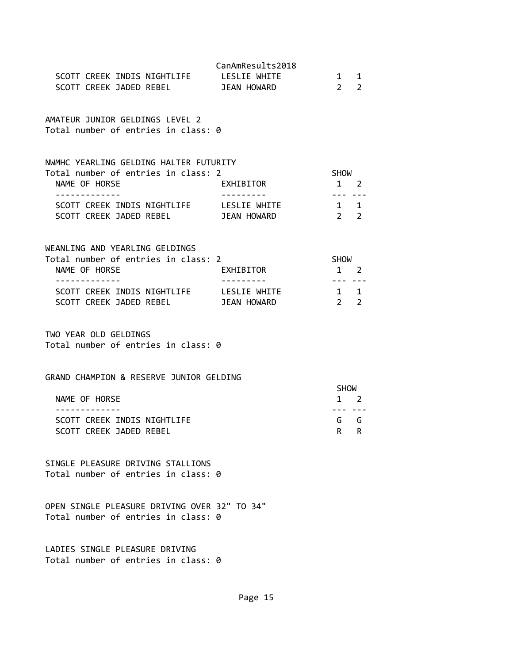| SCOTT CREEK INDIS NIGHTLIFE LESLIE WHITE<br>SCOTT CREEK JADED REBEL                                                                                                                                | CanAmResults2018<br><b>JEAN HOWARD</b> | $\mathbf{1}$<br>$\overline{2}$                                  | 1<br>$\overline{2}$ |
|----------------------------------------------------------------------------------------------------------------------------------------------------------------------------------------------------|----------------------------------------|-----------------------------------------------------------------|---------------------|
| AMATEUR JUNIOR GELDINGS LEVEL 2<br>Total number of entries in class: 0                                                                                                                             |                                        |                                                                 |                     |
| NWMHC YEARLING GELDING HALTER FUTURITY<br>Total number of entries in class: 2<br>NAME OF HORSE<br>-------------<br>SCOTT CREEK INDIS NIGHTLIFE LESLIE WHITE<br>SCOTT CREEK JADED REBEL JEAN HOWARD | EXHIBITOR                              | <b>SHOW</b><br>1 2<br>.<br>1 1<br>2 <sub>2</sub>                |                     |
| WEANLING AND YEARLING GELDINGS<br>Total number of entries in class: 2<br>NAME OF HORSE<br>-------------<br>SCOTT CREEK INDIS NIGHTLIFE LESLIE WHITE<br>SCOTT CREEK JADED REBEL JEAN HOWARD         | EXHIBITOR                              | SHOW<br>$1 \quad 2$<br>--- ---<br>$1 \quad 1$<br>2 <sub>2</sub> |                     |
| TWO YEAR OLD GELDINGS<br>Total number of entries in class: 0                                                                                                                                       |                                        |                                                                 |                     |
| GRAND CHAMPION & RESERVE JUNIOR GELDING<br>NAME OF HORSE<br>-------------<br>SCOTT CREEK INDIS NIGHTLIFE<br>SCOTT CREEK JADED REBEL                                                                |                                        | <b>SHOW</b><br>$1 \quad 2$<br>--- ---<br>$R$ $R$                | G G                 |
| SINGLE PLEASURE DRIVING STALLIONS<br>Total number of entries in class: 0                                                                                                                           |                                        |                                                                 |                     |
| OPEN SINGLE PLEASURE DRIVING OVER 32" TO 34"<br>Total number of entries in class: 0                                                                                                                |                                        |                                                                 |                     |
| LADIES SINGLE PLEASURE DRIVING<br>Total number of entries in class: 0                                                                                                                              |                                        |                                                                 |                     |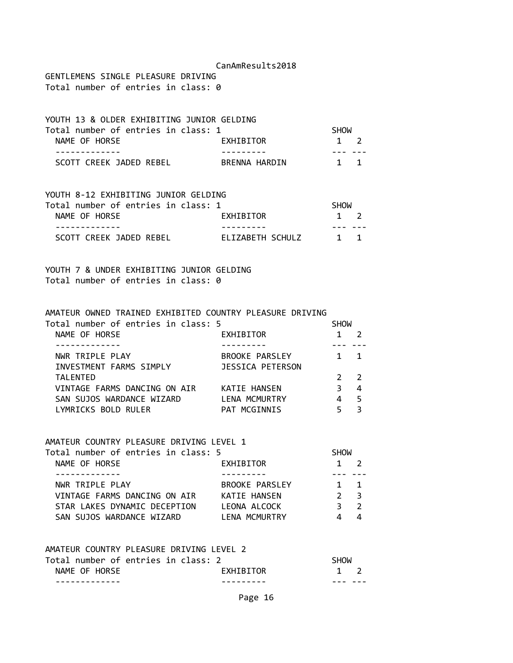GENTLEMENS SINGLE PLEASURE DRIVING Total number of entries in class: 0

| YOUTH 13 & OLDER EXHIBITING JUNIOR GELDING |               |             |  |
|--------------------------------------------|---------------|-------------|--|
| Total number of entries in class: 1        |               | <b>SHOW</b> |  |
| NAME OF HORSE                              | EXHIBITOR     | $1 \quad 2$ |  |
|                                            |               |             |  |
| SCOTT CREEK JADED REBEL                    | BRENNA HARDIN | 1 1         |  |

| YOUTH 8-12 EXHIBITING JUNIOR GELDING |                  |             |  |
|--------------------------------------|------------------|-------------|--|
| Total number of entries in class: 1  |                  | SHOW        |  |
| NAME OF HORSE                        | EXHIBITOR        | $1 \quad 2$ |  |
|                                      |                  |             |  |
| SCOTT CREEK JADED REBEL              | ELIZABETH SCHULZ | $1 \quad 1$ |  |

YOUTH 7 & UNDER EXHIBITING JUNIOR GELDING Total number of entries in class: 0

| AMATEUR OWNED TRAINED EXHIBITED COUNTRY PLEASURE DRIVING |                  |             |               |  |
|----------------------------------------------------------|------------------|-------------|---------------|--|
| Total number of entries in class: 5                      |                  | <b>SHOW</b> |               |  |
| NAME OF HORSE                                            | EXHIBITOR        |             |               |  |
|                                                          |                  |             |               |  |
| NWR TRIPLE PLAY                                          | BROOKE PARSLEY   |             |               |  |
| INVESTMENT FARMS SIMPLY                                  | JESSICA PETERSON |             |               |  |
| <b>TALENTED</b>                                          |                  |             | $\mathcal{P}$ |  |
| VINTAGE FARMS DANCING ON AIR                             | KATIE HANSEN     | З           | 4             |  |
| SAN SUJOS WARDANCE WIZARD                                | LENA MCMURTRY    | 4           | 5             |  |
| LYMRICKS BOLD RULER                                      | PAT MCGINNIS     |             | з             |  |
|                                                          |                  |             |               |  |

### AMATEUR COUNTRY PLEASURE DRIVING LEVEL 1

| Total number of entries in class: 5 |                | <b>SHOW</b>    |                |  |
|-------------------------------------|----------------|----------------|----------------|--|
| NAME OF HORSE                       | EXHIBITOR      | $1 \quad 2$    |                |  |
|                                     |                |                |                |  |
| NWR TRIPLE PLAY                     | BROOKE PARSLEY | $1 \quad 1$    |                |  |
| VINTAGE FARMS DANCING ON AIR        | KATIE HANSEN   | 2 <sup>2</sup> |                |  |
| STAR LAKES DYNAMIC DECEPTION        | LEONA ALCOCK   |                | $\overline{2}$ |  |
| SAN SUJOS WARDANCE WIZARD           | LENA MCMURTRY  |                |                |  |

| AMATEUR COUNTRY PLEASURE DRIVING LEVEL 2 |             |
|------------------------------------------|-------------|
| Total number of entries in class: 2      | <b>SHOW</b> |

|               |           | ----- |
|---------------|-----------|-------|
| NAME OF HORSE | EXHIBITOR |       |
| -----------   | --------- |       |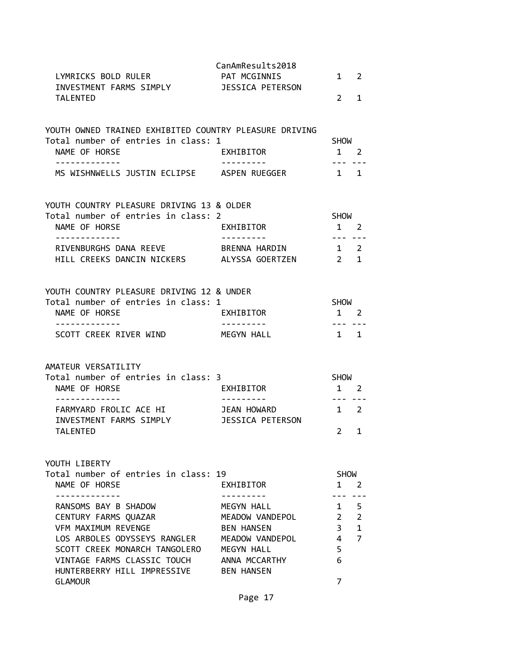| LYMRICKS BOLD RULER<br>INVESTMENT FARMS SIMPLY JESSICA PETERSON<br><b>TALENTED</b>                                                                                                                                   | CanAmResults2018<br>PAT MCGINNIS                                                                                          | $2^{\circ}$                                                        | $1 \quad 2$<br>1                                                |
|----------------------------------------------------------------------------------------------------------------------------------------------------------------------------------------------------------------------|---------------------------------------------------------------------------------------------------------------------------|--------------------------------------------------------------------|-----------------------------------------------------------------|
| YOUTH OWNED TRAINED EXHIBITED COUNTRY PLEASURE DRIVING<br>Total number of entries in class: 1<br>NAME OF HORSE<br>-------------                                                                                      | EXHIBITOR<br>---------                                                                                                    | <b>SHOW</b><br>$1 \quad 2$<br><u>--- --</u> -                      |                                                                 |
| MS WISHNWELLS JUSTIN ECLIPSE ASPEN RUEGGER                                                                                                                                                                           |                                                                                                                           | $1 \quad 1$                                                        |                                                                 |
| YOUTH COUNTRY PLEASURE DRIVING 13 & OLDER<br>Total number of entries in class: 2<br>NAME OF HORSE<br>. <u>.</u> .                                                                                                    | <b>EXHIBITOR</b>                                                                                                          | SHOW<br>$1 \quad 2$<br>--- ---                                     |                                                                 |
| RIVENBURGHS DANA REEVE BRENNA HARDIN 1 2<br>HILL CREEKS DANCIN NICKERS ALYSSA GOERTZEN                                                                                                                               |                                                                                                                           | $\begin{array}{ccc} & 2 & 1 \end{array}$                           |                                                                 |
| YOUTH COUNTRY PLEASURE DRIVING 12 & UNDER<br>Total number of entries in class: 1<br>NAME OF HORSE<br>-------------                                                                                                   | EXHIBITOR<br>----------                                                                                                   | SHOW<br>$1 \quad 2$                                                |                                                                 |
| SCOTT CREEK RIVER WIND                                                                                                                                                                                               | MEGYN HALL                                                                                                                | 1 1                                                                |                                                                 |
| AMATEUR VERSATILITY<br>Total number of entries in class: 3<br>NAME OF HORSE<br>-------------<br>FARMYARD FROLIC ACE HI JEAN HOWARD<br>INVESTMENT FARMS SIMPLY<br><b>TALENTED</b>                                     | EXHIBITOR<br>----------<br>JESSICA PETERSON                                                                               | <b>SHOW</b><br>$1 \quad 2$<br>--- ---<br>1 2                       | $2 \quad 1$                                                     |
| YOUTH LIBERTY<br>Total number of entries in class: 19<br>NAME OF HORSE                                                                                                                                               | EXHIBITOR                                                                                                                 | <b>SHOW</b><br>1                                                   | 2                                                               |
| RANSOMS BAY B SHADOW<br>CENTURY FARMS QUAZAR<br>VFM MAXIMUM REVENGE<br>LOS ARBOLES ODYSSEYS RANGLER<br>SCOTT CREEK MONARCH TANGOLERO<br>VINTAGE FARMS CLASSIC TOUCH<br>HUNTERBERRY HILL IMPRESSIVE<br><b>GLAMOUR</b> | MEGYN HALL<br>MEADOW VANDEPOL<br><b>BEN HANSEN</b><br>MEADOW VANDEPOL<br>MEGYN HALL<br>ANNA MCCARTHY<br><b>BEN HANSEN</b> | $2\overline{ }$<br>3 <sup>7</sup><br>$\overline{4}$<br>5<br>6<br>7 | $1 \quad 5$<br>$\overline{2}$<br>$\mathbf{1}$<br>$\overline{7}$ |
|                                                                                                                                                                                                                      | Page 17                                                                                                                   |                                                                    |                                                                 |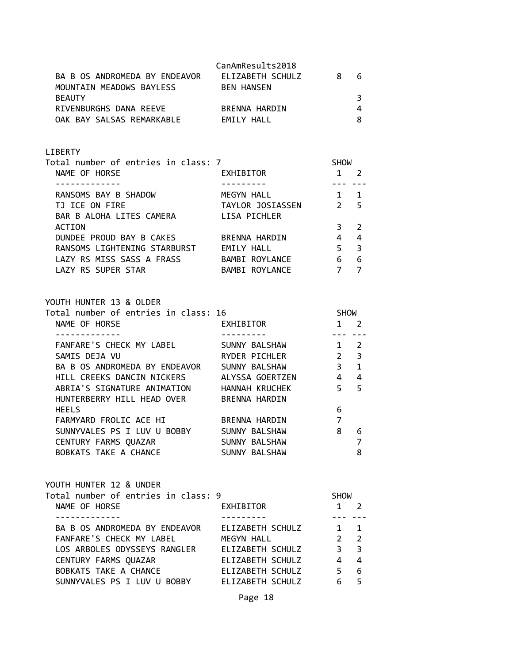| BA B OS ANDROMEDA BY ENDEAVOR | CanAmResults2018<br>ELIZABETH SCHULZ | 8 | 6 |
|-------------------------------|--------------------------------------|---|---|
| MOUNTAIN MEADOWS BAYLESS      | <b>BEN HANSEN</b>                    |   |   |
| <b>BEAUTY</b>                 |                                      |   |   |
| RIVENBURGHS DANA REEVE        | BRENNA HARDIN                        |   |   |
| OAK BAY SALSAS REMARKABLE     | FMTIY HAII                           |   |   |

## LIBERTY

| Total number of entries in class: 7 |                  | <b>SHOW</b>   |                         |  |
|-------------------------------------|------------------|---------------|-------------------------|--|
| NAME OF HORSE                       | EXHIBITOR        |               |                         |  |
|                                     |                  |               |                         |  |
| RANSOMS BAY B SHADOW                | MEGYN HALL       |               | 1                       |  |
| TJ ICE ON FIRE                      | TAYLOR JOSIASSEN | $\mathcal{P}$ | $\overline{5}$          |  |
| BAR B ALOHA LITES CAMERA            | LISA PICHLER     |               |                         |  |
| <b>ACTION</b>                       |                  |               | 2                       |  |
| DUNDEE PROUD BAY B CAKES            | BRENNA HARDIN    | 4             | 4                       |  |
| RANSOMS LIGHTENING STARBURST        | EMILY HALL       | 5             | $\overline{\mathbf{3}}$ |  |
| LAZY RS MISS SASS A FRASS           | BAMBI ROYLANCE   | 6             | 6                       |  |
| LAZY RS SUPER STAR                  | BAMBI ROYLANCE   |               |                         |  |
|                                     |                  |               |                         |  |

YOUTH HUNTER 13 & OLDER

| Total number of entries in class: 16 |                 | <b>SHOW</b>    |              |
|--------------------------------------|-----------------|----------------|--------------|
| NAME OF HORSE                        | EXHIBITOR       |                | 2            |
|                                      |                 |                |              |
| FANFARE'S CHECK MY LABEL             | SUNNY BALSHAW   | 1              | 2            |
| SAMIS DEJA VU                        | RYDER PICHLER   | 2 <sub>3</sub> |              |
| BA B OS ANDROMEDA BY ENDEAVOR        | SUNNY BALSHAW   | 3              | $\mathbf{1}$ |
| HILL CREEKS DANCIN NICKERS           | ALYSSA GOERTZEN | $\overline{4}$ | 4            |
| ABRIA'S SIGNATURE ANIMATION          | HANNAH KRUCHEK  | 5              | 5            |
| HUNTERBERRY HILL HEAD OVER           | BRENNA HARDIN   |                |              |
| <b>HEELS</b>                         |                 | 6              |              |
| FARMYARD FROLIC ACE HI               | BRENNA HARDIN   | 7              |              |
| SUNNYVALES PS I LUV U BOBBY          | SUNNY BALSHAW   | 8              | 6            |
| CENTURY FARMS QUAZAR                 | SUNNY BALSHAW   |                |              |
| BOBKATS TAKE A CHANCE                | SUNNY BALSHAW   |                | 8            |

| YOUTH HUNTER 12 & UNDER<br>Total number of entries in class: 9 |                  | <b>SHOW</b>   |                         |
|----------------------------------------------------------------|------------------|---------------|-------------------------|
| NAME OF HORSE                                                  | EXHIBITOR        |               |                         |
|                                                                |                  |               |                         |
| BA B OS ANDROMEDA BY ENDEAVOR                                  | ELIZABETH SCHULZ | 1             | $\blacksquare$          |
| FANFARE'S CHECK MY LABEL                                       | MEGYN HALL       | $\mathcal{P}$ | $\overline{2}$          |
| LOS ARBOLES ODYSSEYS RANGLER                                   | ELIZABETH SCHULZ | 3             | $\overline{\mathbf{3}}$ |
| CENTURY FARMS QUAZAR                                           | ELIZABETH SCHULZ | 4             | 4                       |
| BOBKATS TAKE A CHANCE                                          | ELIZABETH SCHULZ | 5             | 6                       |
| SUNNYVALES PS I LUV U BOBBY                                    | ELIZABETH SCHULZ |               | 5                       |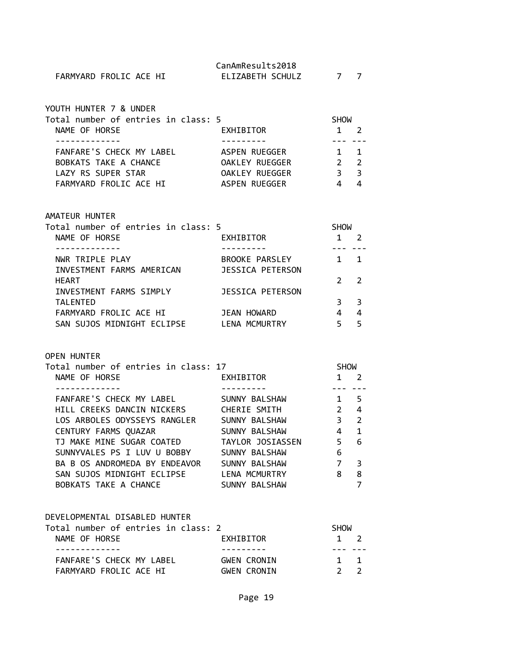|                        | CanAmResults2018 |  |
|------------------------|------------------|--|
| FARMYARD FROLIC ACE HI | ELIZABETH SCHULZ |  |

| YOUTH HUNTER 7 & UNDER              |                |               |                         |  |
|-------------------------------------|----------------|---------------|-------------------------|--|
| Total number of entries in class: 5 |                | <b>SHOW</b>   |                         |  |
| NAME OF HORSE                       | EXHIBITOR      |               | $\overline{2}$          |  |
|                                     |                |               |                         |  |
| FANFARE'S CHECK MY LABEL            | ASPEN RUEGGER  | $1 \quad 1$   |                         |  |
| BOBKATS TAKE A CHANCE               | OAKLEY RUEGGER | $\mathcal{P}$ | $\overline{\mathbf{2}}$ |  |
| LAZY RS SUPER STAR                  | OAKLEY RUEGGER | 3             | $\mathbf{R}$            |  |
| FARMYARD FROLIC ACE HI              | ASPEN RUEGGER  |               |                         |  |
|                                     |                |               |                         |  |

### AMATEUR HUNTER

| Total number of entries in class: 5 |                       | <b>SHOW</b>   |                |  |
|-------------------------------------|-----------------------|---------------|----------------|--|
| NAME OF HORSE                       | EXHIBITOR             |               |                |  |
|                                     |                       |               |                |  |
| NWR TRIPLE PLAY                     | <b>BROOKE PARSLEY</b> |               | 1              |  |
| INVESTMENT FARMS AMERICAN           | JESSICA PETERSON      |               |                |  |
| <b>HEART</b>                        |                       | $\mathcal{P}$ | $\overline{2}$ |  |
| INVESTMENT FARMS SIMPLY             | JESSICA PETERSON      |               |                |  |
| <b>TALENTED</b>                     |                       | 3             | 3              |  |
| FARMYARD FROLIC ACE HI              | JEAN HOWARD           |               | 4              |  |
| SAN SUJOS MIDNIGHT ECLIPSE          | <b>LENA MCMURTRY</b>  |               | 5              |  |

### OPEN HUNTER

| Total number of entries in class: 17 |                  | <b>SHOW</b> |              |
|--------------------------------------|------------------|-------------|--------------|
| NAME OF HORSE                        | EXHIBITOR        |             | 2            |
|                                      |                  |             |              |
| FANFARE'S CHECK MY LABEL             | SUNNY BALSHAW    |             | 5            |
| HILL CREEKS DANCIN NICKERS           | CHERIE SMITH     | 2           | 4            |
| LOS ARBOLES ODYSSEYS RANGLER         | SUNNY BALSHAW    | 3           | 2            |
| CENTURY FARMS QUAZAR                 | SUNNY BALSHAW    | 4           | $\mathbf{1}$ |
| TJ MAKE MINE SUGAR COATED            | TAYLOR JOSIASSEN | 5           | 6            |
| SUNNYVALES PS I LUV U BOBBY          | SUNNY BALSHAW    | 6           |              |
| BA B OS ANDROMEDA BY ENDEAVOR        | SUNNY BALSHAW    | 7           | 3            |
| SAN SUJOS MIDNIGHT ECLIPSE           | LENA MCMURTRY    | 8           | 8            |
| BOBKATS TAKE A CHANCE                | SUNNY BALSHAW    |             |              |

# DEVELOPMENTAL DISABLED HUNTER

| Total number of entries in class: 2 |                    | <b>SHOW</b>  |             |
|-------------------------------------|--------------------|--------------|-------------|
| NAME OF HORSE                       | EXHIBITOR          | $1 \quad 2$  |             |
|                                     |                    |              |             |
| FANFARE'S CHECK MY LABEL            | GWEN CRONTN        |              | $1 \quad 1$ |
| FARMYARD FROLIC ACE HI              | <b>GWEN CRONIN</b> | $2^{\prime}$ |             |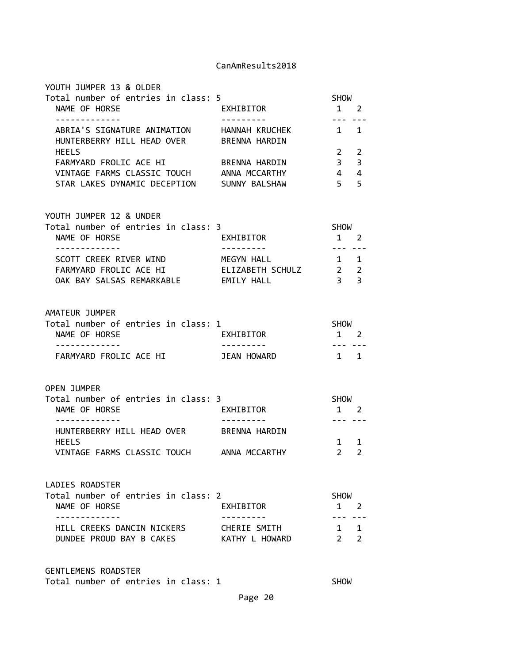| YOUTH JUMPER 13 & OLDER                                                                             |                                |                                                                                                                                                                                                                                                                                                                                                                                                                                                                                           |
|-----------------------------------------------------------------------------------------------------|--------------------------------|-------------------------------------------------------------------------------------------------------------------------------------------------------------------------------------------------------------------------------------------------------------------------------------------------------------------------------------------------------------------------------------------------------------------------------------------------------------------------------------------|
| Total number of entries in class: 5<br>NAME OF HORSE                                                | <b>EXHIBITOR</b><br>---------- | SHOW<br>1 2<br>$\frac{1}{2} \left( \frac{1}{2} \right) \left( \frac{1}{2} \right) \left( \frac{1}{2} \right) \left( \frac{1}{2} \right) \left( \frac{1}{2} \right) \left( \frac{1}{2} \right) \left( \frac{1}{2} \right) \left( \frac{1}{2} \right) \left( \frac{1}{2} \right) \left( \frac{1}{2} \right) \left( \frac{1}{2} \right) \left( \frac{1}{2} \right) \left( \frac{1}{2} \right) \left( \frac{1}{2} \right) \left( \frac{1}{2} \right) \left( \frac{1}{2} \right) \left( \frac$ |
| ABRIA'S SIGNATURE ANIMATION HANNAH KRUCHEK<br>HUNTERBERRY HILL HEAD OVER BRENNA HARDIN              |                                | $1 \quad 1$                                                                                                                                                                                                                                                                                                                                                                                                                                                                               |
| <b>HEELS</b>                                                                                        |                                | $2 \quad 2$                                                                                                                                                                                                                                                                                                                                                                                                                                                                               |
| FARMYARD FROLIC ACE HI BRENNA HARDIN<br>VINTAGE FARMS CLASSIC TOUCH ANNA MCCARTHY                   |                                | 3 <sup>7</sup><br>3<br>$4 \quad 4$                                                                                                                                                                                                                                                                                                                                                                                                                                                        |
| STAR LAKES DYNAMIC DECEPTION SUNNY BALSHAW                                                          |                                | 5 <sub>5</sub>                                                                                                                                                                                                                                                                                                                                                                                                                                                                            |
| YOUTH JUMPER 12 & UNDER                                                                             |                                |                                                                                                                                                                                                                                                                                                                                                                                                                                                                                           |
| Total number of entries in class: 3<br>NAME OF HORSE<br>-------------                               | EXHIBITOR<br>__________        | SHOW<br>$1 \quad 2$                                                                                                                                                                                                                                                                                                                                                                                                                                                                       |
| SCOTT CREEK RIVER WIND MEGYN HALL<br>FARMYARD FROLIC ACE HI<br>OAK BAY SALSAS REMARKABLE EMILY HALL | ELIZABETH SCHULZ 2 2           | $1 \quad 1$<br>$\overline{3}$ $\overline{3}$                                                                                                                                                                                                                                                                                                                                                                                                                                              |
| AMATEUR JUMPER                                                                                      |                                |                                                                                                                                                                                                                                                                                                                                                                                                                                                                                           |
| Total number of entries in class: 1<br>NAME OF HORSE                                                | EXHIBITOR                      | SHOW<br>$1 \quad 2$                                                                                                                                                                                                                                                                                                                                                                                                                                                                       |
| . <u>.</u><br>FARMYARD FROLIC ACE HI                                                                | <b>JEAN HOWARD</b>             | $\frac{1}{2} \left( \frac{1}{2} \right) \left( \frac{1}{2} \right) \left( \frac{1}{2} \right) \left( \frac{1}{2} \right) \left( \frac{1}{2} \right) \left( \frac{1}{2} \right) \left( \frac{1}{2} \right) \left( \frac{1}{2} \right) \left( \frac{1}{2} \right) \left( \frac{1}{2} \right) \left( \frac{1}{2} \right) \left( \frac{1}{2} \right) \left( \frac{1}{2} \right) \left( \frac{1}{2} \right) \left( \frac{1}{2} \right) \left( \frac{1}{2} \right) \left( \frac$<br>$1 \quad 1$ |
| <b>OPEN JUMPER</b>                                                                                  |                                |                                                                                                                                                                                                                                                                                                                                                                                                                                                                                           |
| Total number of entries in class: 3<br>NAME OF HORSE                                                | EXHIBITOR                      | SHOW<br>$1 \quad 2$                                                                                                                                                                                                                                                                                                                                                                                                                                                                       |
| -------------<br>HUNTERBERRY HILL HEAD OVER BRENNA HARDIN                                           | ----------                     | --- ---                                                                                                                                                                                                                                                                                                                                                                                                                                                                                   |
| <b>HEELS</b><br>VINTAGE FARMS CLASSIC TOUCH                                                         | ANNA MCCARTHY                  | $1 \quad 1$<br>$2^{\circ}$<br>$\mathbf{2}$                                                                                                                                                                                                                                                                                                                                                                                                                                                |
| LADIES ROADSTER                                                                                     |                                |                                                                                                                                                                                                                                                                                                                                                                                                                                                                                           |
| Total number of entries in class: 2<br>NAME OF HORSE                                                | EXHIBITOR                      | <b>SHOW</b><br>$1 \quad 2$                                                                                                                                                                                                                                                                                                                                                                                                                                                                |

GENTLEMENS ROADSTER Total number of entries in class: 1 SHOW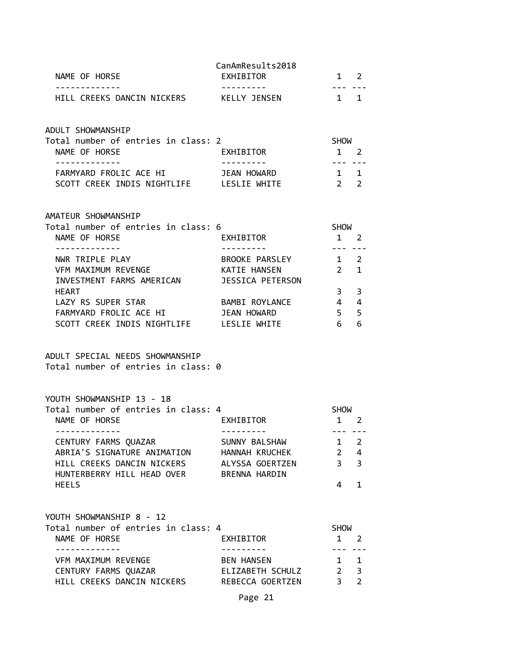| NAME OF HORSE<br>.                                                                                                                                             | CanAmResults2018<br>EXHIBITOR                                       | 1 2<br>$- - -$                                     |                                     |
|----------------------------------------------------------------------------------------------------------------------------------------------------------------|---------------------------------------------------------------------|----------------------------------------------------|-------------------------------------|
| HILL CREEKS DANCIN NICKERS KELLY JENSEN                                                                                                                        |                                                                     | 1 1                                                |                                     |
| ADULT SHOWMANSHIP<br>Total number of entries in class: 2<br>NAME OF HORSE                                                                                      | EXHIBITOR                                                           | SHOW<br>$1 \quad 2$                                |                                     |
| <u> - - - - - - - - - - - -</u><br>FARMYARD FROLIC ACE HI<br>SCOTT CREEK INDIS NIGHTLIFE LESLIE WHITE                                                          | <b>JEAN HOWARD</b>                                                  | $\frac{1}{2}$<br>1 1<br>2 <sub>2</sub>             |                                     |
| AMATEUR SHOWMANSHIP<br>Total number of entries in class: 6<br>NAME OF HORSE                                                                                    | EXHIBITOR                                                           | SHOW<br>$1 \quad 2$                                |                                     |
| - - - - - - - - - - - - -<br>NWR TRIPLE PLAY<br>VFM MAXIMUM REVENGE<br>INVESTMENT FARMS AMERICAN JESSICA PETERSON                                              | ----------<br>BROOKE PARSLEY<br>KATIE HANSEN                        | $\frac{1}{2}$<br>$1 \quad 2$<br>$2 \quad 1$        |                                     |
| <b>HEART</b><br>LAZY RS SUPER STAR<br>FARMYARD FROLIC ACE HI<br>SCOTT CREEK INDIS NIGHTLIFE LESLIE WHITE                                                       | BAMBI ROYLANCE<br><b>JEAN HOWARD</b>                                | $3^{\circ}$<br>$4 \quad 4$<br>5 <sup>7</sup><br>6  | 3<br>5<br>6                         |
| ADULT SPECIAL NEEDS SHOWMANSHIP<br>Total number of entries in class: 0                                                                                         |                                                                     |                                                    |                                     |
| YOUTH SHOWMANSHIP 13 - 18<br>Total number of entries in class: 4<br>NAME OF HORSE                                                                              | EXHIBITOR                                                           | SHOW<br>$1 \quad 2$                                |                                     |
| - - - - - - - - - - - - - -<br>CENTURY FARMS QUAZAR<br>ABRIA'S SIGNATURE ANIMATION<br>HILL CREEKS DANCIN NICKERS<br>HUNTERBERRY HILL HEAD OVER<br><b>HEELS</b> | SUNNY BALSHAW<br>HANNAH KRUCHEK<br>ALYSSA GOERTZEN<br>BRENNA HARDIN | --- ---<br>1<br>$2^{\circ}$<br>3 <sup>7</sup><br>4 | 2<br>4<br>3<br>$\mathbf{1}$         |
| YOUTH SHOWMANSHIP 8 - 12<br>Total number of entries in class: 4<br>NAME OF HORSE                                                                               | EXHIBITOR                                                           | <b>SHOW</b><br>$\mathbf{1}$                        | 2                                   |
| -----------<br>VFM MAXIMUM REVENGE<br>CENTURY FARMS QUAZAR<br>HILL CREEKS DANCIN NICKERS REBECCA GOERTZEN                                                      | <b>BEN HANSEN</b><br>ELIZABETH SCHULZ                               | $1 \quad$<br>$2^{\circ}$<br>$\overline{3}$         | $\mathbf{1}$<br>3<br>$\overline{2}$ |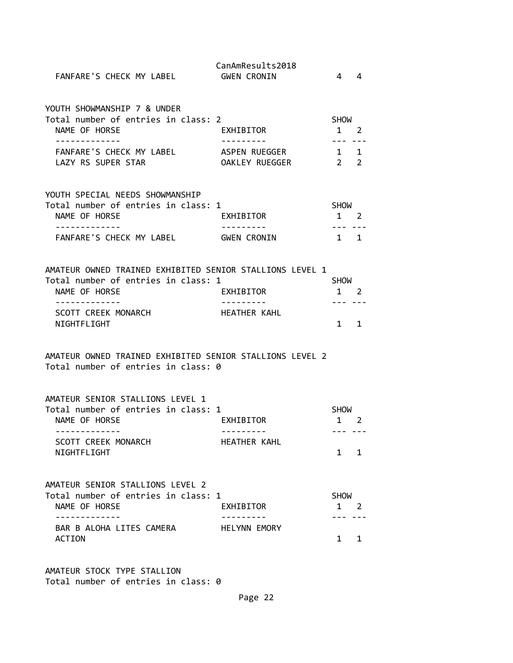| FANFARE'S CHECK MY LABEL                                                                                                                                                | CanAmResults2018<br><b>GWEN CRONIN</b>   | $\overline{4}$                                      | $\overline{4}$ |
|-------------------------------------------------------------------------------------------------------------------------------------------------------------------------|------------------------------------------|-----------------------------------------------------|----------------|
| YOUTH SHOWMANSHIP 7 & UNDER<br>Total number of entries in class: 2<br>NAME OF HORSE<br>-------------                                                                    | EXHIBITOR<br><u> - - - - - - - - - -</u> | SHOW<br>$1\quad 2$                                  |                |
| FANFARE'S CHECK MY LABEL<br>LAZY RS SUPER STAR                                                                                                                          | ASPEN RUEGGER<br>OAKLEY RUEGGER          | 1 1<br>$2\overline{2}$                              |                |
| YOUTH SPECIAL NEEDS SHOWMANSHIP<br>Total number of entries in class: 1<br>NAME OF HORSE                                                                                 | EXHIBITOR                                | SHOW<br>$1\quad 2$                                  |                |
| ------------<br>FANFARE'S CHECK MY LABEL GWEN CRONIN                                                                                                                    |                                          | $1 \quad 1$                                         |                |
| AMATEUR OWNED TRAINED EXHIBITED SENIOR STALLIONS LEVEL 1<br>Total number of entries in class: 1<br>NAME OF HORSE<br>-------------<br>SCOTT CREEK MONARCH<br>NIGHTFLIGHT | EXHIBITOR<br>----------<br>HEATHER KAHL  | SHOW<br>$1 \quad 2$<br>$1 \quad 1$                  |                |
| AMATEUR OWNED TRAINED EXHIBITED SENIOR STALLIONS LEVEL 2<br>Total number of entries in class: 0                                                                         |                                          |                                                     |                |
| AMATEUR SENIOR STALLIONS LEVEL 1<br>Total number of entries in class: 1<br>NAME OF HORSE<br>-------------<br>SCOTT CREEK MONARCH<br>NIGHTFLIGHT                         | EXHIBITOR<br>---------<br>HEATHER KAHL   | SHOW<br>1 2<br>--- ---<br>$\mathbf{1}$              | 1              |
| AMATEUR SENIOR STALLIONS LEVEL 2<br>Total number of entries in class: 1<br>NAME OF HORSE<br>- - - - - - - - - - - - -<br>BAR B ALOHA LITES CAMERA<br><b>ACTION</b>      | EXHIBITOR<br><b>HELYNN EMORY</b>         | <b>SHOW</b><br>$1 \quad 2$<br>--- -<br>$\mathbf{1}$ | 1              |
|                                                                                                                                                                         |                                          |                                                     |                |

AMATEUR STOCK TYPE STALLION Total number of entries in class: 0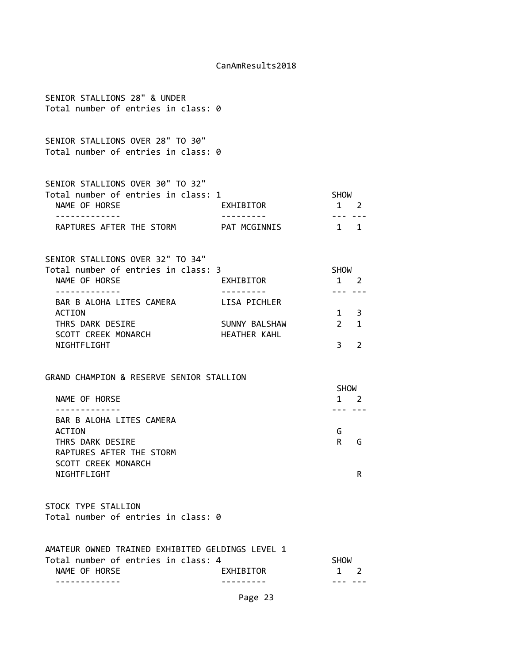| SENIOR STALLIONS 28" & UNDER<br>Total number of entries in class: 0                                                                              |                               |                                                                                                                                                                                                                                                                                                                                                                                                                                                                                                                  |
|--------------------------------------------------------------------------------------------------------------------------------------------------|-------------------------------|------------------------------------------------------------------------------------------------------------------------------------------------------------------------------------------------------------------------------------------------------------------------------------------------------------------------------------------------------------------------------------------------------------------------------------------------------------------------------------------------------------------|
| SENIOR STALLIONS OVER 28" TO 30"<br>Total number of entries in class: 0                                                                          |                               |                                                                                                                                                                                                                                                                                                                                                                                                                                                                                                                  |
| SENIOR STALLIONS OVER 30" TO 32"<br>Total number of entries in class: 1<br>NAME OF HORSE<br>. <u>.</u><br>RAPTURES AFTER THE STORM PAT MCGINNIS  | EXHIBITOR                     | SHOW<br>$1 \quad 2$<br>$\frac{1}{2} \left( \frac{1}{2} \right) \left( \frac{1}{2} \right) \left( \frac{1}{2} \right) \left( \frac{1}{2} \right) \left( \frac{1}{2} \right) \left( \frac{1}{2} \right) \left( \frac{1}{2} \right) \left( \frac{1}{2} \right) \left( \frac{1}{2} \right) \left( \frac{1}{2} \right) \left( \frac{1}{2} \right) \left( \frac{1}{2} \right) \left( \frac{1}{2} \right) \left( \frac{1}{2} \right) \left( \frac{1}{2} \right) \left( \frac{1}{2} \right) \left( \frac$<br>$1 \quad 1$ |
| SENIOR STALLIONS OVER 32" TO 34"<br>Total number of entries in class: 3<br>NAME OF HORSE<br>-------------                                        | EXHIBITOR<br>. <u>.</u>       | SHOW<br>$1\quad 2$<br><u>--- ---</u>                                                                                                                                                                                                                                                                                                                                                                                                                                                                             |
| BAR B ALOHA LITES CAMERA LISA PICHLER<br><b>ACTION</b><br>THRS DARK DESIRE<br>SCOTT CREEK MONARCH<br>NIGHTFLIGHT                                 | SUNNY BALSHAW<br>HEATHER KAHL | $1 \quad 3$<br>$2 \quad 1$<br>3<br>2                                                                                                                                                                                                                                                                                                                                                                                                                                                                             |
| GRAND CHAMPION & RESERVE SENIOR STALLION                                                                                                         |                               |                                                                                                                                                                                                                                                                                                                                                                                                                                                                                                                  |
| NAME OF HORSE                                                                                                                                    |                               | <b>SHOW</b><br>$1 \quad 2$                                                                                                                                                                                                                                                                                                                                                                                                                                                                                       |
| -------------<br>BAR B ALOHA LITES CAMERA<br>ACTION<br>THRS DARK DESIRE<br>RAPTURES AFTER THE STORM<br><b>SCOTT CREEK MONARCH</b><br>NIGHTFLIGHT |                               | --- ---<br>G<br>R<br>G<br>R                                                                                                                                                                                                                                                                                                                                                                                                                                                                                      |
| STOCK TYPE STALLION<br>Total number of entries in class: 0                                                                                       |                               |                                                                                                                                                                                                                                                                                                                                                                                                                                                                                                                  |
| AMATEUR OWNED TRAINED EXHIBITED GELDINGS LEVEL 1<br>Total number of entries in class: 4<br>NAME OF HORSE                                         | EXHIBITOR                     | <b>SHOW</b><br>$1 \quad 2$                                                                                                                                                                                                                                                                                                                                                                                                                                                                                       |
|                                                                                                                                                  | Page 23                       |                                                                                                                                                                                                                                                                                                                                                                                                                                                                                                                  |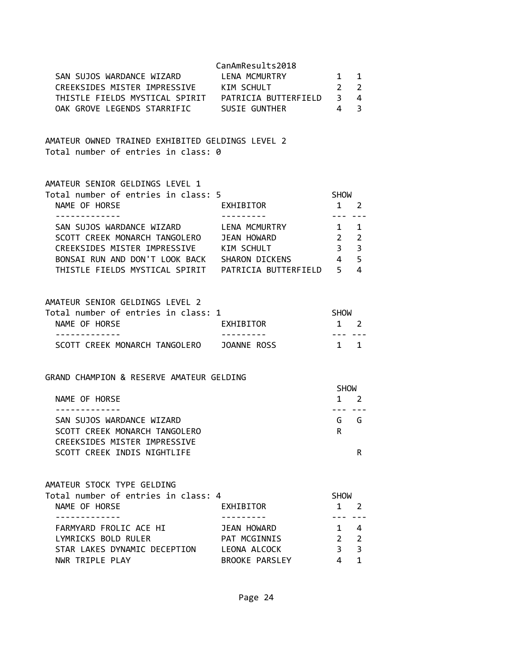| SAN SUJOS WARDANCE WIZARD<br>CREEKSIDES MISTER IMPRESSIVE KIM SCHULT<br>OAK GROVE LEGENDS STARRIFIC SUSIE GUNTHER                                                                                                   | CanAmResults2018<br>LENA MCMURTRY                                          | 1<br>$2^{\circ}$<br>$\overline{4}$                                                                                                                                                                                                                                                                                                                                                                                                                                                                                             | 1<br>$\overline{2}$<br>4<br>3                      |  |
|---------------------------------------------------------------------------------------------------------------------------------------------------------------------------------------------------------------------|----------------------------------------------------------------------------|--------------------------------------------------------------------------------------------------------------------------------------------------------------------------------------------------------------------------------------------------------------------------------------------------------------------------------------------------------------------------------------------------------------------------------------------------------------------------------------------------------------------------------|----------------------------------------------------|--|
| AMATEUR OWNED TRAINED EXHIBITED GELDINGS LEVEL 2<br>Total number of entries in class: 0                                                                                                                             |                                                                            |                                                                                                                                                                                                                                                                                                                                                                                                                                                                                                                                |                                                    |  |
| AMATEUR SENIOR GELDINGS LEVEL 1<br>Total number of entries in class: 5<br>NAME OF HORSE                                                                                                                             | EXHIBITOR                                                                  | <b>SHOW</b><br>$1 \quad 2$                                                                                                                                                                                                                                                                                                                                                                                                                                                                                                     |                                                    |  |
| . <u>.</u><br>SAN SUJOS WARDANCE WIZARD LENA MCMURTRY<br>SCOTT CREEK MONARCH TANGOLERO JEAN HOWARD<br>CREEKSIDES MISTER IMPRESSIVE KIM SCHULT<br>BONSAI RUN AND DON'T LOOK BACK SHARON DICKENS 4                    |                                                                            | $\frac{1}{2} \left( \frac{1}{2} \right) \left( \frac{1}{2} \right) \left( \frac{1}{2} \right) \left( \frac{1}{2} \right) \left( \frac{1}{2} \right) \left( \frac{1}{2} \right) \left( \frac{1}{2} \right) \left( \frac{1}{2} \right) \left( \frac{1}{2} \right) \left( \frac{1}{2} \right) \left( \frac{1}{2} \right) \left( \frac{1}{2} \right) \left( \frac{1}{2} \right) \left( \frac{1}{2} \right) \left( \frac{1}{2} \right) \left( \frac{1}{2} \right) \left( \frac$<br>$\mathbf{1}$<br>$\overline{2}$<br>3 <sup>7</sup> | 1<br>$\overline{2}$<br>$\overline{3}$<br>5<br>4    |  |
| AMATEUR SENIOR GELDINGS LEVEL 2<br>Total number of entries in class: 1<br>NAME OF HORSE<br>-------------<br>SCOTT CREEK MONARCH TANGOLERO JOANNE ROSS                                                               | EXHIBITOR                                                                  | SHOW<br>$1 \quad 2$<br>--- ---<br>1 1                                                                                                                                                                                                                                                                                                                                                                                                                                                                                          |                                                    |  |
| GRAND CHAMPION & RESERVE AMATEUR GELDING<br>NAME OF HORSE<br>SAN SUJOS WARDANCE WIZARD<br>SCOTT CREEK MONARCH TANGOLERO<br>CREEKSIDES MISTER IMPRESSIVE<br>SCOTT CREEK INDIS NIGHTLIFE                              |                                                                            | <b>SHOW</b><br>---<br>R.                                                                                                                                                                                                                                                                                                                                                                                                                                                                                                       | $1 \quad 2$<br>G G<br>R                            |  |
| AMATEUR STOCK TYPE GELDING<br>Total number of entries in class: 4<br>NAME OF HORSE<br>- - - - - - - - - - - - -<br>FARMYARD FROLIC ACE HI<br>LYMRICKS BOLD RULER<br>STAR LAKES DYNAMIC DECEPTION<br>NWR TRIPLE PLAY | EXHIBITOR<br>JEAN HOWARD<br>PAT MCGINNIS<br>LEONA ALCOCK<br>BROOKE PARSLEY | <b>SHOW</b><br>$1 \quad 2$<br>$2^{\circ}$<br>$\overline{3}$<br>4                                                                                                                                                                                                                                                                                                                                                                                                                                                               | $1 \quad 4$<br>$\overline{2}$<br>3<br>$\mathbf{1}$ |  |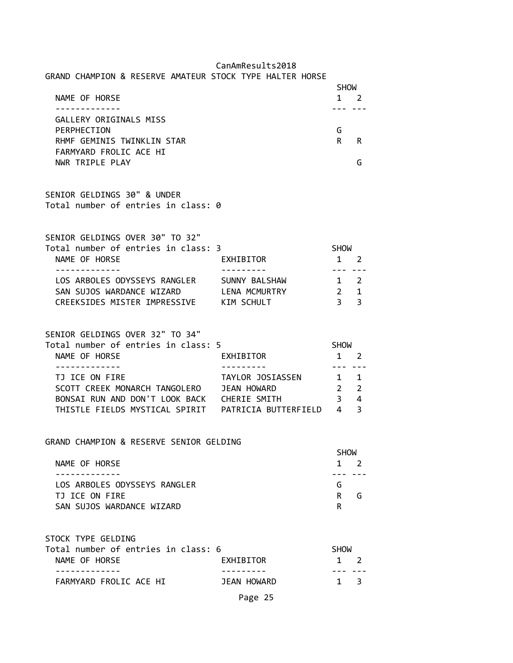| CanAmResults2018 |
|------------------|
|------------------|

| GRAND CHAMPION & RESERVE AMATEUR STOCK TYPE HALTER HORSE                                 |                  |                                   | <b>SHOW</b>                    |  |
|------------------------------------------------------------------------------------------|------------------|-----------------------------------|--------------------------------|--|
| NAME OF HORSE                                                                            |                  | 1 2                               |                                |  |
| GALLERY ORIGINALS MISS<br>PERPHECTION                                                    |                  |                                   |                                |  |
| RHMF GEMINIS TWINKLIN STAR<br>FARMYARD FROLIC ACE HI                                     |                  | G<br>R.                           | R                              |  |
| NWR TRIPLE PLAY                                                                          |                  |                                   | G                              |  |
| SENIOR GELDINGS 30" & UNDER<br>Total number of entries in class: 0                       |                  |                                   |                                |  |
| SENIOR GELDINGS OVER 30" TO 32"<br>Total number of entries in class: 3                   |                  | <b>SHOW</b>                       |                                |  |
| NAME OF HORSE                                                                            | EXHIBITOR        | $1 \quad 2$                       |                                |  |
| LOS ARBOLES ODYSSEYS RANGLER SUNNY BALSHAW                                               |                  | $- - -$<br>$1 \quad 2$            |                                |  |
| SAN SUJOS WARDANCE WIZARD LENA MCMURTRY<br>CREEKSIDES MISTER IMPRESSIVE KIM SCHULT       |                  | $\overline{2}$<br>3 <sup>7</sup>  | $\mathbf{1}$<br>$\overline{3}$ |  |
| SENIOR GELDINGS OVER 32" TO 34"<br>Total number of entries in class: 5                   |                  | <b>SHOW</b>                       |                                |  |
| NAME OF HORSE<br>.                                                                       | EXHIBITOR        | $1 \quad 2$<br>--- ---            |                                |  |
| TJ ICE ON FIRE                                                                           | TAYLOR JOSIASSEN | $\overline{1}$                    | 1                              |  |
| SCOTT CREEK MONARCH TANGOLERO JEAN HOWARD<br>BONSAI RUN AND DON'T LOOK BACK CHERIE SMITH |                  | $2^{\circ}$<br>3 <sup>7</sup>     | $\overline{2}$<br>4            |  |
|                                                                                          |                  |                                   | $\overline{3}$                 |  |
| GRAND CHAMPION & RESERVE SENIOR GELDING                                                  |                  |                                   |                                |  |
| NAME OF HORSE                                                                            |                  | <b>SHOW</b><br>$1\quad 2$<br>$ -$ |                                |  |
| LOS ARBOLES ODYSSEYS RANGLER                                                             |                  | G                                 |                                |  |
| TJ ICE ON FIRE<br>SAN SUJOS WARDANCE WIZARD                                              |                  | R.<br>R.                          | G                              |  |
| STOCK TYPE GELDING                                                                       |                  |                                   |                                |  |
| Total number of entries in class: 6<br>NAME OF HORSE<br>-----------                      | EXHIBITOR        | <b>SHOW</b><br>1                  | 2                              |  |
| FARMYARD FROLIC ACE HI                                                                   | JEAN HOWARD      | $\mathbf{1}$                      | 3                              |  |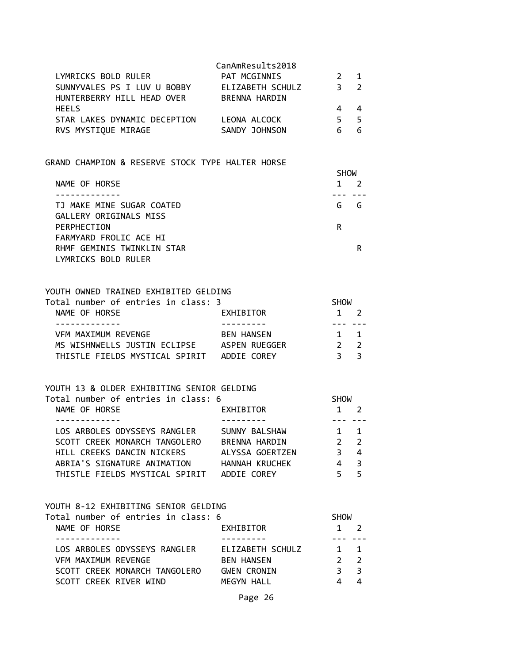| LYMRICKS BOLD RULER<br>SUNNYVALES PS I LUV U BOBBY<br>HUNTERBERRY HILL HEAD OVER | CanAmResults2018<br>PAT MCGINNIS<br>ELIZABETH SCHULZ<br><b>BRENNA HARDIN</b> | $\mathcal{P}$<br>ર | $\blacksquare$ |
|----------------------------------------------------------------------------------|------------------------------------------------------------------------------|--------------------|----------------|
| <b>HEELS</b>                                                                     |                                                                              |                    |                |
| STAR LAKES DYNAMIC DECEPTION                                                     | LEONA ALCOCK                                                                 | 5                  |                |
| RVS MYSTIQUE MIRAGE                                                              | SANDY JOHNSON                                                                |                    |                |

# GRAND CHAMPION & RESERVE STOCK TYPE HALTER HORSE

|                            | <b>SHOW</b> |   |  |
|----------------------------|-------------|---|--|
| NAME OF HORSE              |             |   |  |
|                            |             |   |  |
| TJ MAKE MINE SUGAR COATED  | G           | G |  |
| GALLERY ORIGINALS MISS     |             |   |  |
| PERPHECTION                | R           |   |  |
| FARMYARD FROLIC ACE HI     |             |   |  |
| RHMF GEMINIS TWINKLIN STAR |             | R |  |
| LYMRICKS BOLD RULER        |             |   |  |

# YOUTH OWNED TRAINED EXHIBITED GELDING<br>Total number of entries in class: 3

| Total number of entries in class: 3        |                   | <b>SHOW</b> |                |  |
|--------------------------------------------|-------------------|-------------|----------------|--|
| NAME OF HORSE                              | EXHIBITOR         |             | $1 \quad 2$    |  |
|                                            |                   |             |                |  |
| VFM MAXIMUM REVENGE                        | <b>BEN HANSEN</b> |             | $1 \quad 1$    |  |
| MS WISHNWELLS JUSTIN ECLIPSE               | ASPEN RUEGGER     |             | 2 <sub>2</sub> |  |
| THISTLE FIELDS MYSTICAL SPIRIT ADDIE COREY |                   | २ २         |                |  |

# YOUTH 13 & OLDER EXHIBITING SENIOR GELDING

| Total number of entries in class: 6            |             |                         |
|------------------------------------------------|-------------|-------------------------|
| EXHIBITOR<br>NAME OF HORSE                     |             | $\mathcal{L}$           |
|                                                |             |                         |
| LOS ARBOLES ODYSSEYS RANGLER<br>SUNNY BALSHAW  | $1 \quad 1$ |                         |
| SCOTT CREEK MONARCH TANGOLERO<br>BRENNA HARDIN | $2 \quad 2$ |                         |
| HILL CREEKS DANCIN NICKERS<br>ALYSSA GOERTZEN  |             | 4                       |
| ABRIA'S SIGNATURE ANIMATION<br>HANNAH KRUCHEK  | 4           | $\overline{\mathbf{3}}$ |
| THISTLE FIELDS MYSTICAL SPIRIT<br>ADDIE COREY  |             | -5                      |

# YOUTH 8-12 EXHIBITING SENIOR GELDING

| Total number of entries in class: 6 |                    | <b>SHOW</b> |                          |  |  |
|-------------------------------------|--------------------|-------------|--------------------------|--|--|
| NAME OF HORSE                       | EXHIBITOR          |             | $1 \quad 2$              |  |  |
|                                     |                    |             |                          |  |  |
| LOS ARBOLES ODYSSEYS RANGLER        | ELIZABETH SCHULZ   |             | $1 \quad 1$              |  |  |
| VFM MAXIMUM REVENGE                 | <b>BEN HANSEN</b>  |             | $\overline{\phantom{a}}$ |  |  |
| SCOTT CREEK MONARCH TANGOLERO       | <b>GWEN CRONIN</b> |             | - 3                      |  |  |
| SCOTT CREEK RIVER WIND              | MEGYN HALL         |             |                          |  |  |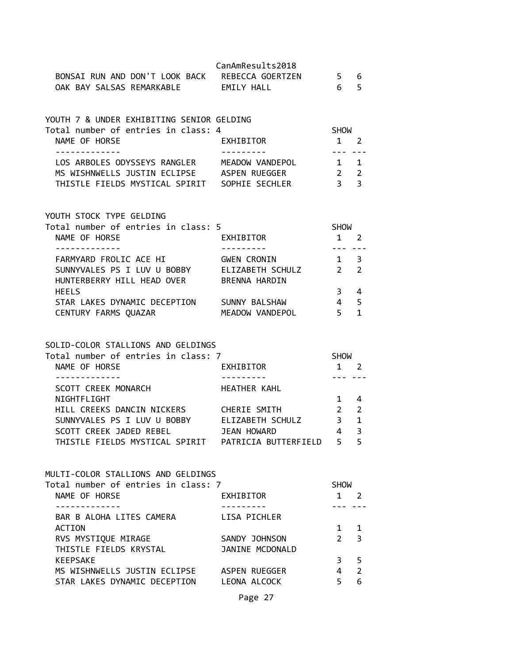|                           |                                | CanAmResults2018 |    |    |
|---------------------------|--------------------------------|------------------|----|----|
|                           | BONSAI RUN AND DON'T LOOK BACK | REBECCA GOERTZEN | 56 |    |
| OAK BAY SALSAS REMARKABLE |                                | FMTIY HAII       |    | 65 |

| YOUTH 7 & UNDER EXHIBITING SENIOR GELDING<br>Total number of entries in class: 4 |                 | <b>SHOW</b> |                |
|----------------------------------------------------------------------------------|-----------------|-------------|----------------|
|                                                                                  |                 |             |                |
| NAME OF HORSE                                                                    | EXHIBITOR       |             | $\mathcal{L}$  |
|                                                                                  |                 |             |                |
| LOS ARBOLES ODYSSEYS RANGLER                                                     | MEADOW VANDEPOL | $1 \quad 1$ |                |
| MS WISHNWELLS JUSTIN ECLIPSE                                                     | ASPEN RUEGGER   |             | $\overline{2}$ |
| THISTLE FIELDS MYSTICAL SPIRIT                                                   | SOPHIE SECHLER  |             | -3             |

### YOUTH STOCK TYPE GELDING

| Total number of entries in class: 5 |                    | <b>SHOW</b>   |                |  |
|-------------------------------------|--------------------|---------------|----------------|--|
| NAME OF HORSE                       | EXHIBITOR          |               |                |  |
|                                     |                    |               |                |  |
| FARMYARD FROLIC ACE HI              | <b>GWEN CRONIN</b> |               | - 3            |  |
| SUNNYVALES PS I LUV U BOBBY         | ELIZABETH SCHULZ   | $\mathcal{P}$ | $\overline{2}$ |  |
| HUNTERBERRY HILL HEAD OVER          | BRENNA HARDIN      |               |                |  |
| <b>HEELS</b>                        |                    |               | 4              |  |
| STAR LAKES DYNAMIC DECEPTION        | SUNNY BALSHAW      |               | - 5            |  |
| CENTURY FARMS QUAZAR                | MEADOW VANDEPOL    |               |                |  |
|                                     |                    |               |                |  |

# SOLID-COLOR STALLIONS AND GELDINGS

| Total number of entries in class: 7 |                      | <b>SHOW</b>   |                          |  |
|-------------------------------------|----------------------|---------------|--------------------------|--|
| NAME OF HORSE                       | EXHIBITOR            |               |                          |  |
|                                     |                      |               |                          |  |
| SCOTT CREEK MONARCH                 | HEATHER KAHL         |               |                          |  |
| NIGHTFLIGHT                         |                      |               | 4                        |  |
| HILL CREEKS DANCIN NICKERS          | CHERIE SMITH         | $\mathcal{P}$ | $\overline{\phantom{a}}$ |  |
| SUNNYVALES PS I LUV U BOBBY         | ELIZABETH SCHULZ     | з             | $\mathbf 1$              |  |
| SCOTT CREEK JADED REBEL             | JEAN HOWARD          | 4             | - 3                      |  |
| THISTLE FIELDS MYSTICAL SPIRIT      | PATRICIA BUTTERFIELD |               | 5                        |  |

# MULTI-COLOR STALLIONS AND GELDINGS<br>Total number of entries in class:

| Total number of entries in class: 7 |                 | <b>SHOW</b>   |                         |  |
|-------------------------------------|-----------------|---------------|-------------------------|--|
| NAME OF HORSE                       | EXHIBITOR       |               |                         |  |
|                                     |                 |               |                         |  |
| BAR B ALOHA LITES CAMERA            | LISA PICHLER    |               |                         |  |
| <b>ACTION</b>                       |                 |               |                         |  |
| RVS MYSTIQUE MIRAGE                 | SANDY JOHNSON   | $\mathcal{P}$ | $\overline{\mathbf{3}}$ |  |
| THISTLE FIELDS KRYSTAL              | JANINE MCDONALD |               |                         |  |
| <b>KEEPSAKE</b>                     |                 | 3             | 5                       |  |
| MS WISHNWELLS JUSTIN ECLIPSE        | ASPEN RUEGGER   | 4             | 2                       |  |
| STAR LAKES DYNAMIC DECEPTION        | LEONA ALCOCK    |               | 6                       |  |
|                                     |                 |               |                         |  |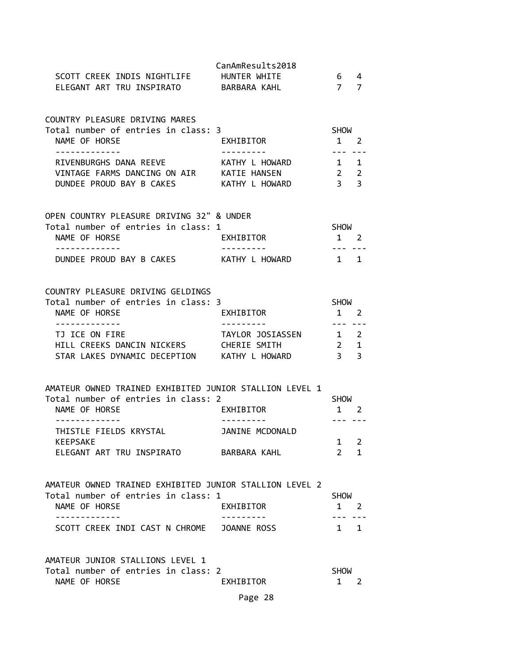| SCOTT CREEK INDIS NIGHTLIFE HUNTER WHITE<br>ELEGANT ART TRU INSPIRATO BARBARA KAHL             | CanAmResults2018     | $6\quad 4$<br>7 7             |        |
|------------------------------------------------------------------------------------------------|----------------------|-------------------------------|--------|
| COUNTRY PLEASURE DRIVING MARES                                                                 |                      |                               |        |
| Total number of entries in class: 3                                                            |                      | SHOW                          |        |
| NAME OF HORSE                                                                                  | EXHIBITOR            | $1 \quad 2$                   |        |
| -------------<br>RIVENBURGHS DANA REEVE KATHY L HOWARD 1 1                                     | ----------           |                               |        |
| VINTAGE FARMS DANCING ON AIR KATIE HANSEN                                                      |                      | $2 \quad 2$                   |        |
| DUNDEE PROUD BAY B CAKES KATHY L HOWARD 3 3                                                    |                      |                               |        |
| OPEN COUNTRY PLEASURE DRIVING 32" & UNDER                                                      |                      |                               |        |
| Total number of entries in class: 1                                                            |                      | SHOW                          |        |
| NAME OF HORSE<br>-------------                                                                 | EXHIBITOR            | $1 \quad 2$<br>. <b>.</b>     |        |
| DUNDEE PROUD BAY B CAKES KATHY L HOWARD 1 1                                                    |                      |                               |        |
| COUNTRY PLEASURE DRIVING GELDINGS<br>Total number of entries in class: 3                       |                      | <b>SHOW</b>                   |        |
| NAME OF HORSE<br>-------------                                                                 | EXHIBITOR            | $1 \quad 2$<br>--- ---        |        |
| TJ ICE ON FIRE                                                                                 | TAYLOR JOSIASSEN 1 2 |                               |        |
| HILL CREEKS DANCIN NICKERS CHERIE SMITH                                                        |                      | $2 \quad 1$                   |        |
| STAR LAKES DYNAMIC DECEPTION KATHY L HOWARD                                                    |                      | $\overline{3}$ $\overline{3}$ |        |
| AMATEUR OWNED TRAINED EXHIBITED JUNIOR STALLION LEVEL 1                                        |                      |                               |        |
| Total number of entries in class: 2                                                            | EXHIBITOR            | SHOW                          |        |
| NAME OF HORSE<br>-------------                                                                 | ----------           | 1 2<br>--- ---                |        |
| THISTLE FIELDS KRYSTAL JANINE MCDONALD                                                         |                      |                               |        |
| <b>KEEPSAKE</b>                                                                                | BARBARA KAHL         | $\mathbf{1}$<br>$\mathcal{P}$ | 2<br>1 |
| ELEGANT ART TRU INSPIRATO                                                                      |                      |                               |        |
| AMATEUR OWNED TRAINED EXHIBITED JUNIOR STALLION LEVEL 2<br>Total number of entries in class: 1 |                      | <b>SHOW</b>                   |        |
| NAME OF HORSE                                                                                  | EXHIBITOR            | $1 \quad 2$                   |        |
| - - - - - - - - - - - - -<br>SCOTT CREEK INDI CAST N CHROME JOANNE ROSS                        | . <u>.</u>           | $1 \quad 1$                   |        |
| AMATEUR JUNIOR STALLIONS LEVEL 1                                                               |                      |                               |        |
| Total number of entries in class: 2                                                            |                      | <b>SHOW</b>                   |        |
| NAME OF HORSE                                                                                  | EXHIBITOR            | $1 \quad$                     | 2      |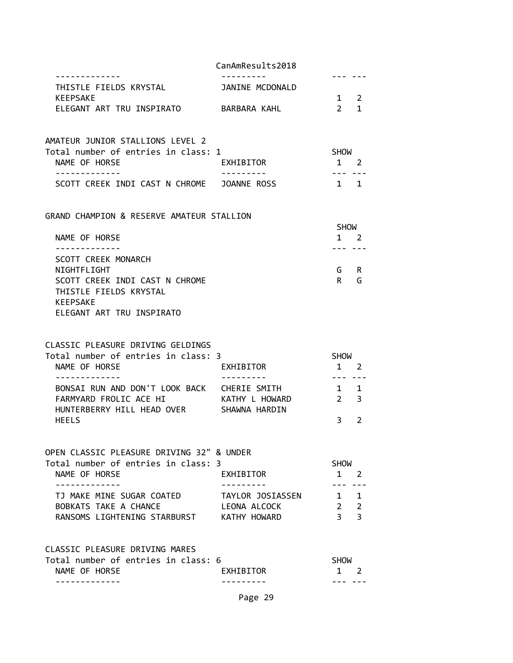|                                                                    | CanAmResults2018 |                            |                                |
|--------------------------------------------------------------------|------------------|----------------------------|--------------------------------|
| THISTLE FIELDS KRYSTAL                                             | JANINE MCDONALD  |                            |                                |
| <b>KEEPSAKE</b><br>ELEGANT ART TRU INSPIRATO BARBARA KAHL          |                  | $2^{\circ}$                | $1 \quad 2$<br>1               |
|                                                                    |                  |                            |                                |
| AMATEUR JUNIOR STALLIONS LEVEL 2                                   |                  |                            |                                |
| Total number of entries in class: 1                                |                  | SHOW                       |                                |
| NAME OF HORSE<br>.                                                 | EXHIBITOR        | --- ---                    | 1 2                            |
| SCOTT CREEK INDI CAST N CHROME JOANNE ROSS                         |                  |                            | $1 \quad 1$                    |
| GRAND CHAMPION & RESERVE AMATEUR STALLION                          |                  |                            |                                |
| NAME OF HORSE                                                      |                  | <b>SHOW</b><br>$1 \quad 2$ |                                |
|                                                                    |                  | --- ---                    |                                |
| <b>SCOTT CREEK MONARCH</b>                                         |                  |                            |                                |
| NIGHTFLIGHT<br>SCOTT CREEK INDI CAST N CHROME                      |                  | R                          | G R<br>G                       |
| THISTLE FIELDS KRYSTAL                                             |                  |                            |                                |
| KEEPSAKE                                                           |                  |                            |                                |
| ELEGANT ART TRU INSPIRATO                                          |                  |                            |                                |
| CLASSIC PLEASURE DRIVING GELDINGS                                  |                  |                            |                                |
| Total number of entries in class: 3                                |                  | <b>SHOW</b>                |                                |
| NAME OF HORSE                                                      | EXHIBITOR        | $- - -$                    | $1 \quad 2$                    |
| BONSAI RUN AND DON'T LOOK BACK CHERIE SMITH                        |                  |                            | $\begin{matrix}1&\end{matrix}$ |
| FARMYARD FROLIC ACE HI                                             | KATHY L HOWARD   | $2^{\sim}$                 | $\overline{3}$                 |
| HUNTERBERRY HILL HEAD OVER SHAWNA HARDIN<br><b>HEELS</b>           |                  | 3                          | 2                              |
|                                                                    |                  |                            |                                |
| OPEN CLASSIC PLEASURE DRIVING 32" & UNDER                          |                  |                            |                                |
| Total number of entries in class: 3<br>NAME OF HORSE               | EXHIBITOR        | SHOW<br>$\mathbf{1}$       | 2                              |
| -------------                                                      | --------         | --- --                     |                                |
| TJ MAKE MINE SUGAR COATED                                          | TAYLOR JOSIASSEN | 1 1                        |                                |
| BOBKATS TAKE A CHANCE<br>RANSOMS LIGHTENING STARBURST KATHY HOWARD | LEONA ALCOCK     |                            | $2 \quad 2$<br>3 <sup>3</sup>  |
|                                                                    |                  |                            |                                |
| CLASSIC PLEASURE DRIVING MARES                                     |                  |                            |                                |
| Total number of entries in class: 6<br>NAME OF HORSE               | EXHIBITOR        | <b>SHOW</b><br>$1 \quad$   | 2                              |
| . <u>.</u>                                                         |                  |                            | . – –   – – –                  |

Page 29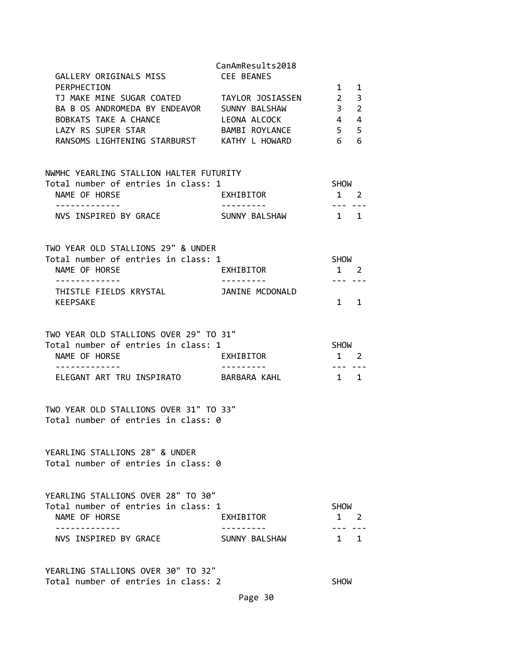| GALLERY ORIGINALS MISS                                                                         | CanAmResults2018<br>CEE BEANES |                            |                   |
|------------------------------------------------------------------------------------------------|--------------------------------|----------------------------|-------------------|
| PERPHECTION                                                                                    |                                | 1                          | $\mathbf{1}$<br>3 |
| TJ MAKE MINE SUGAR COATED TAYLOR JOSIASSEN 2<br>BA B OS ANDROMEDA BY ENDEAVOR SUNNY BALSHAW    |                                | 3 <sub>2</sub>             |                   |
| BOBKATS TAKE A CHANCE THE LEONA ALCOCK                                                         |                                | $4 \quad 4$                |                   |
| LAZY RS SUPER STAR                                                                             | BAMBI ROYLANCE                 | 5 <sub>5</sub>             |                   |
| RANSOMS LIGHTENING STARBURST KATHY L HOWARD                                                    |                                | 6                          | 6                 |
|                                                                                                |                                |                            |                   |
| NWMHC YEARLING STALLION HALTER FUTURITY                                                        |                                |                            |                   |
| Total number of entries in class: 1                                                            |                                | <b>SHOW</b>                |                   |
| NAME OF HORSE<br>-------------                                                                 | EXHIBITOR<br>----------        | $1 \quad 2$<br>-------     |                   |
| NVS INSPIRED BY GRACE SUNNY BALSHAW                                                            |                                | $1 \quad 1$                |                   |
| TWO YEAR OLD STALLIONS 29" & UNDER                                                             |                                |                            |                   |
| Total number of entries in class: 1                                                            |                                | SHOW                       |                   |
| NAME OF HORSE                                                                                  | <b>EXHIBITOR</b>               | $1 \quad 2$                |                   |
| .<br>THISTLE FIELDS KRYSTAL <b>THISTLE FIELDS</b> KRYSTAL                                      |                                | --- ---                    |                   |
| KEEPSAKE                                                                                       |                                | $1 \quad 1$                |                   |
| TWO YEAR OLD STALLIONS OVER 29" TO 31"<br>Total number of entries in class: 1<br>NAME OF HORSE | EXHIBITOR                      | <b>SHOW</b><br>$1 \quad 2$ |                   |
| .<br>ELEGANT ART TRU INSPIRATO BARBARA KAHL                                                    | ----------                     | . <b></b><br>$1 \quad 1$   |                   |
|                                                                                                |                                |                            |                   |
| TWO YEAR OLD STALLIONS OVER 31" TO 33"<br>Total number of entries in class: 0                  |                                |                            |                   |
| YEARLING STALLIONS 28" & UNDER<br>Total number of entries in class: 0                          |                                |                            |                   |
| YEARLING STALLIONS OVER 28" TO 30"<br>Total number of entries in class: 1                      |                                | <b>SHOW</b>                |                   |
| NAME OF HORSE                                                                                  | EXHIBITOR                      | $\mathbf{1}$               | $\overline{2}$    |
| NVS INSPIRED BY GRACE                                                                          | SUNNY BALSHAW                  | $1 \quad 1$                |                   |
| YEARLING STALLIONS OVER 30" TO 32"                                                             |                                |                            |                   |
| Total number of entries in class: 2                                                            |                                | <b>SHOW</b>                |                   |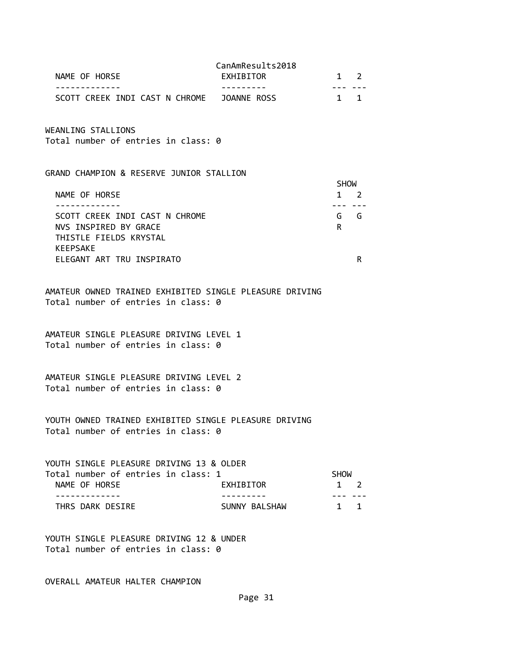|                                            | CanAmResults2018 |             |
|--------------------------------------------|------------------|-------------|
| NAME OF HORSE                              | EXHIBITOR        | $1 \quad 2$ |
|                                            |                  |             |
| SCOTT CREEK INDI CAST N CHROME JOANNE ROSS |                  | $1 \quad 1$ |

WEANLING STALLIONS

Total number of entries in class: 0

#### GRAND CHAMPION & RESERVE JUNIOR STALLION

|                                | <b>SHOW</b> |
|--------------------------------|-------------|
| NAME OF HORSE                  |             |
|                                |             |
| SCOTT CREEK INDI CAST N CHROME | G<br>G      |
| NVS INSPIRED BY GRACE          | R           |
| THISTLE FIELDS KRYSTAL         |             |
| <b>KEEPSAKE</b>                |             |
| ELEGANT ART TRU INSPIRATO      |             |
|                                |             |

AMATEUR OWNED TRAINED EXHIBITED SINGLE PLEASURE DRIVING Total number of entries in class: 0

AMATEUR SINGLE PLEASURE DRIVING LEVEL 1 Total number of entries in class: 0

AMATEUR SINGLE PLEASURE DRIVING LEVEL 2 Total number of entries in class: 0

YOUTH OWNED TRAINED EXHIBITED SINGLE PLEASURE DRIVING Total number of entries in class: 0

| YOUTH SINGLE PLEASURE DRIVING 13 & OLDER |               |             |     |
|------------------------------------------|---------------|-------------|-----|
| Total number of entries in class: 1      |               | <b>SHOW</b> |     |
| NAME OF HORSE                            | EXHIBITOR     | $1 \quad 2$ |     |
|                                          |               |             |     |
| THRS DARK DESIRE                         | SUNNY BALSHAW |             | 1 1 |

YOUTH SINGLE PLEASURE DRIVING 12 & UNDER Total number of entries in class: 0

OVERALL AMATEUR HALTER CHAMPION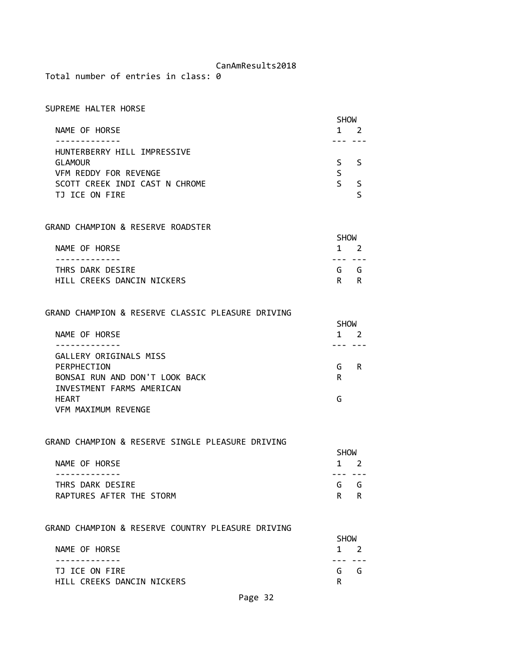Total number of entries in class: 0

| SUPREME HALTER HORSE           |             |    |
|--------------------------------|-------------|----|
|                                | <b>SHOW</b> |    |
| NAME OF HORSE                  |             |    |
|                                |             |    |
| HUNTERBERRY HILL IMPRESSIVE    |             |    |
| <b>GLAMOUR</b>                 |             | -5 |
| VFM REDDY FOR REVENGE          |             |    |
| SCOTT CREEK INDI CAST N CHROME |             |    |
| ICE ON FIRE                    |             |    |

### GRAND CHAMPION & RESERVE ROADSTER

|                            | <b>SHOW</b> |             |  |
|----------------------------|-------------|-------------|--|
| NAME OF HORSE              |             | $1 \quad 2$ |  |
|                            |             |             |  |
| THRS DARK DESIRE           |             | G G         |  |
| HILL CREEKS DANCIN NICKERS |             | R R         |  |

GRAND CHAMPION & RESERVE CLASSIC PLEASURE DRIVING

|                                | <b>SHOW</b> |   |
|--------------------------------|-------------|---|
| NAME OF HORSE                  |             |   |
|                                |             |   |
| GALLERY ORIGINALS MISS         |             |   |
| PERPHECTION                    | G           | R |
| BONSAI RUN AND DON'T LOOK BACK | R           |   |
| INVESTMENT FARMS AMERICAN      |             |   |
| <b>HEART</b>                   | G           |   |
| VFM MAXIMUM REVENGE            |             |   |

## GRAND CHAMPION & RESERVE SINGLE PLEASURE DRIVING

| NAME OF HORSE<br>$1 \quad 2$    |  |
|---------------------------------|--|
|                                 |  |
| THRS DARK DESIRE<br>G G         |  |
| RAPTURES AFTER THE STORM<br>R R |  |

#### GRAND CHAMPION & RESERVE COUNTRY PLEASURE DRIVING

|                            | <b>SHOW</b> |             |  |
|----------------------------|-------------|-------------|--|
| NAME OF HORSE              |             | $1 \quad 2$ |  |
|                            |             |             |  |
| TJ ICE ON FIRE             |             | G G         |  |
| HILL CREEKS DANCIN NICKERS |             |             |  |